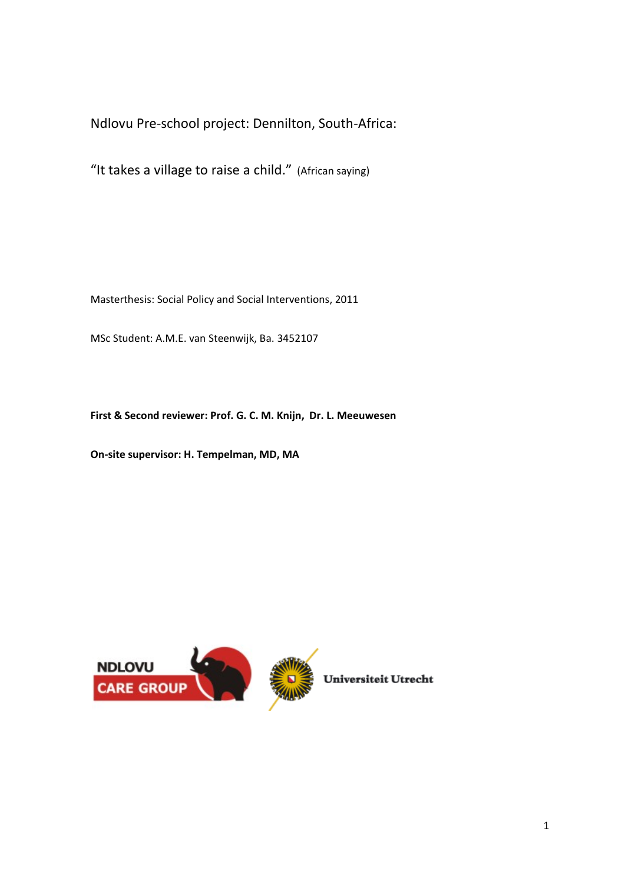Ndlovu Pre-school project: Dennilton, South-Africa:

"It takes a village to raise a child." (African saying)

Masterthesis: Social Policy and Social Interventions, 2011

MSc Student: A.M.E. van Steenwijk, Ba. 3452107

**First & Second reviewer: Prof. G. C. M. Knijn, Dr. L. Meeuwesen**

**On-site supervisor: H. Tempelman, MD, MA**



Universiteit Utrecht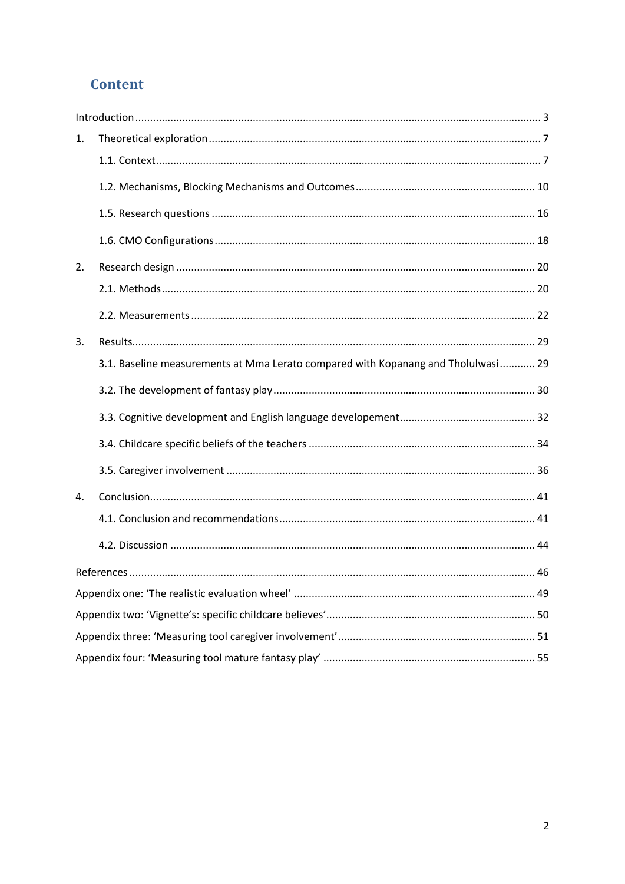# **Content**

| 1. |                                                                                   |  |
|----|-----------------------------------------------------------------------------------|--|
|    |                                                                                   |  |
|    |                                                                                   |  |
|    |                                                                                   |  |
|    |                                                                                   |  |
| 2. |                                                                                   |  |
|    |                                                                                   |  |
|    |                                                                                   |  |
| 3. |                                                                                   |  |
|    | 3.1. Baseline measurements at Mma Lerato compared with Kopanang and Tholulwasi 29 |  |
|    |                                                                                   |  |
|    |                                                                                   |  |
|    |                                                                                   |  |
|    |                                                                                   |  |
| 4. |                                                                                   |  |
|    |                                                                                   |  |
|    |                                                                                   |  |
|    |                                                                                   |  |
|    |                                                                                   |  |
|    |                                                                                   |  |
|    |                                                                                   |  |
|    |                                                                                   |  |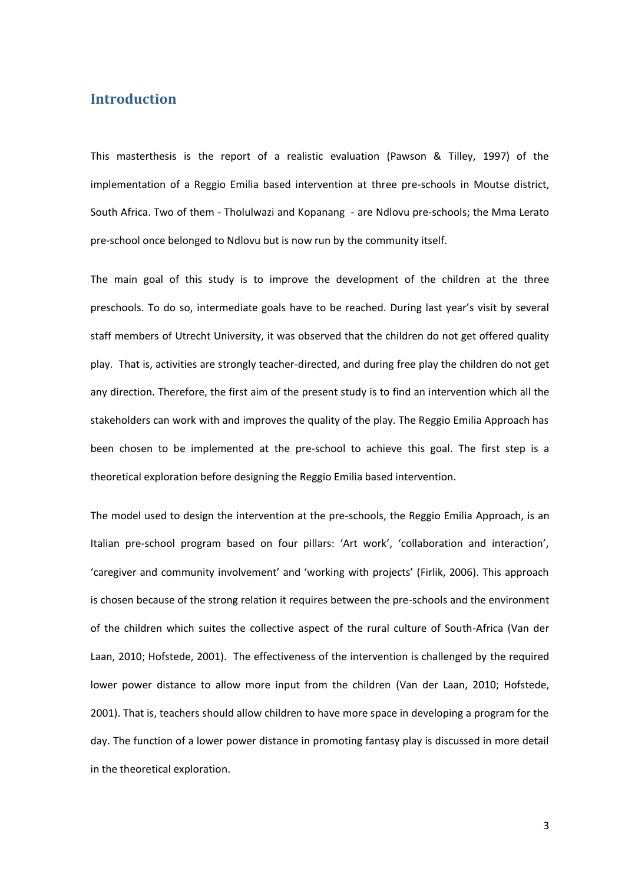## <span id="page-2-0"></span>**Introduction**

This masterthesis is the report of a realistic evaluation (Pawson & Tilley, 1997) of the implementation of a Reggio Emilia based intervention at three pre-schools in Moutse district, South Africa. Two of them - Tholulwazi and Kopanang - are Ndlovu pre-schools; the Mma Lerato pre-school once belonged to Ndlovu but is now run by the community itself.

The main goal of this study is to improve the development of the children at the three preschools. To do so, intermediate goals have to be reached. During last year's visit by several staff members of Utrecht University, it was observed that the children do not get offered quality play. That is, activities are strongly teacher-directed, and during free play the children do not get any direction. Therefore, the first aim of the present study is to find an intervention which all the stakeholders can work with and improves the quality of the play. The Reggio Emilia Approach has been chosen to be implemented at the pre-school to achieve this goal. The first step is a theoretical exploration before designing the Reggio Emilia based intervention.

The model used to design the intervention at the pre-schools, the Reggio Emilia Approach, is an Italian pre-school program based on four pillars: 'Art work', 'collaboration and interaction', 'caregiver and community involvement' and 'working with projects' (Firlik, 2006). This approach is chosen because of the strong relation it requires between the pre-schools and the environment of the children which suites the collective aspect of the rural culture of South-Africa (Van der Laan, 2010; Hofstede, 2001). The effectiveness of the intervention is challenged by the required lower power distance to allow more input from the children (Van der Laan, 2010; Hofstede, 2001). That is, teachers should allow children to have more space in developing a program for the day. The function of a lower power distance in promoting fantasy play is discussed in more detail in the theoretical exploration.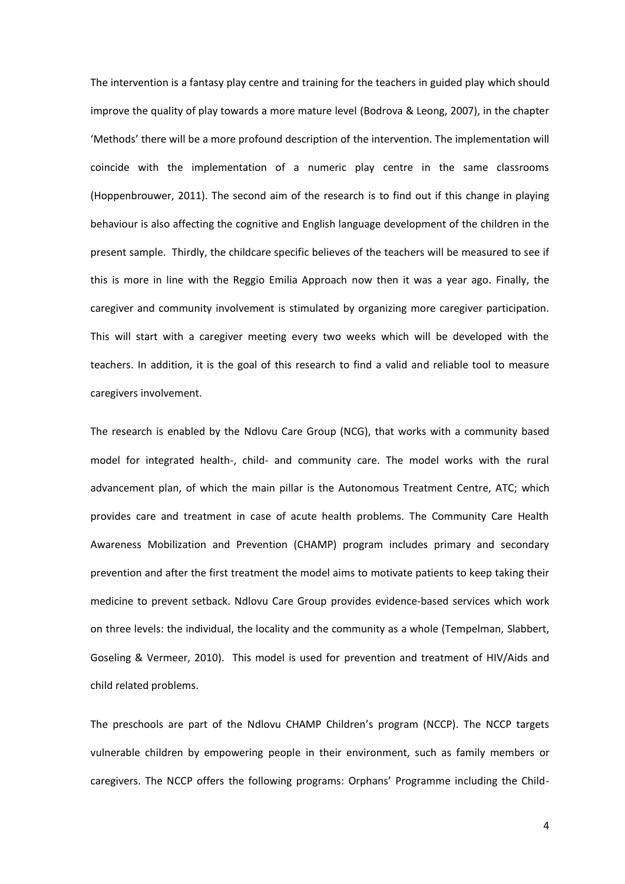The intervention is a fantasy play centre and training for the teachers in guided play which should improve the quality of play towards a more mature level (Bodrova & Leong, 2007), in the chapter 'Methods' there will be a more profound description of the intervention. The implementation will coincide with the implementation of a numeric play centre in the same classrooms (Hoppenbrouwer, 2011). The second aim of the research is to find out if this change in playing behaviour is also affecting the cognitive and English language development of the children in the present sample. Thirdly, the childcare specific believes of the teachers will be measured to see if this is more in line with the Reggio Emilia Approach now then it was a year ago. Finally, the caregiver and community involvement is stimulated by organizing more caregiver participation. This will start with a caregiver meeting every two weeks which will be developed with the teachers. In addition, it is the goal of this research to find a valid and reliable tool to measure caregivers involvement.

The research is enabled by the Ndlovu Care Group (NCG), that works with a community based model for integrated health-, child- and community care. The model works with the rural advancement plan, of which the main pillar is the Autonomous Treatment Centre, ATC; which provides care and treatment in case of acute health problems. The Community Care Health Awareness Mobilization and Prevention (CHAMP) program includes primary and secondary prevention and after the first treatment the model aims to motivate patients to keep taking their medicine to prevent setback. Ndlovu Care Group provides evidence-based services which work on three levels: the individual, the locality and the community as a whole (Tempelman, Slabbert, Goseling & Vermeer, 2010). This model is used for prevention and treatment of HIV/Aids and child related problems.

The preschools are part of the Ndlovu CHAMP Children's program (NCCP). The NCCP targets vulnerable children by empowering people in their environment, such as family members or caregivers. The NCCP offers the following programs: Orphans' Programme including the Child-

4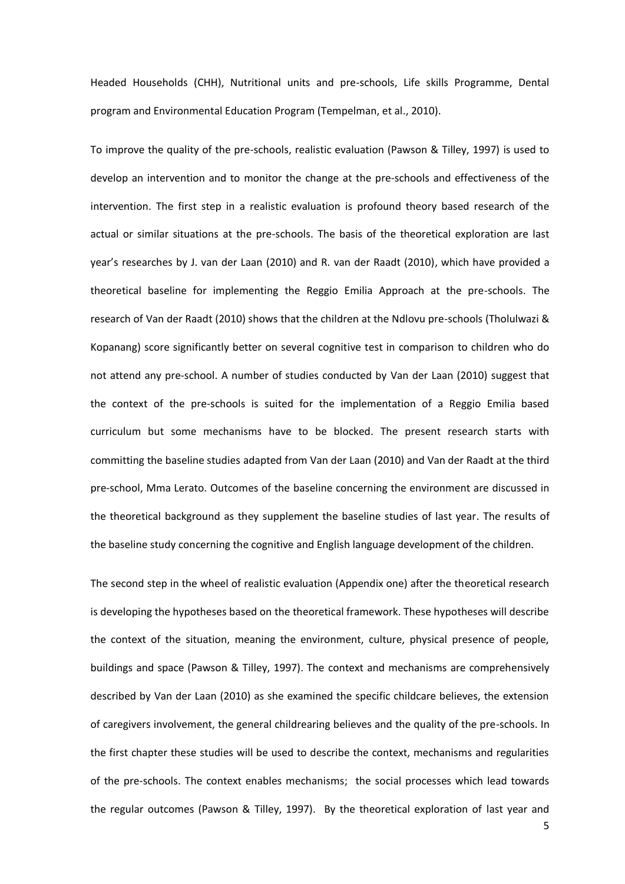Headed Households (CHH), Nutritional units and pre-schools, Life skills Programme, Dental program and Environmental Education Program (Tempelman, et al., 2010).

To improve the quality of the pre-schools, realistic evaluation (Pawson & Tilley, 1997) is used to develop an intervention and to monitor the change at the pre-schools and effectiveness of the intervention. The first step in a realistic evaluation is profound theory based research of the actual or similar situations at the pre-schools. The basis of the theoretical exploration are last year's researches by J. van der Laan (2010) and R. van der Raadt (2010), which have provided a theoretical baseline for implementing the Reggio Emilia Approach at the pre-schools. The research of Van der Raadt (2010) shows that the children at the Ndlovu pre-schools (Tholulwazi & Kopanang) score significantly better on several cognitive test in comparison to children who do not attend any pre-school. A number of studies conducted by Van der Laan (2010) suggest that the context of the pre-schools is suited for the implementation of a Reggio Emilia based curriculum but some mechanisms have to be blocked. The present research starts with committing the baseline studies adapted from Van der Laan (2010) and Van der Raadt at the third pre-school, Mma Lerato. Outcomes of the baseline concerning the environment are discussed in the theoretical background as they supplement the baseline studies of last year. The results of the baseline study concerning the cognitive and English language development of the children.

The second step in the wheel of realistic evaluation (Appendix one) after the theoretical research is developing the hypotheses based on the theoretical framework. These hypotheses will describe the context of the situation, meaning the environment, culture, physical presence of people, buildings and space (Pawson & Tilley, 1997). The context and mechanisms are comprehensively described by Van der Laan (2010) as she examined the specific childcare believes, the extension of caregivers involvement, the general childrearing believes and the quality of the pre-schools. In the first chapter these studies will be used to describe the context, mechanisms and regularities of the pre-schools. The context enables mechanisms; the social processes which lead towards the regular outcomes (Pawson & Tilley, 1997). By the theoretical exploration of last year and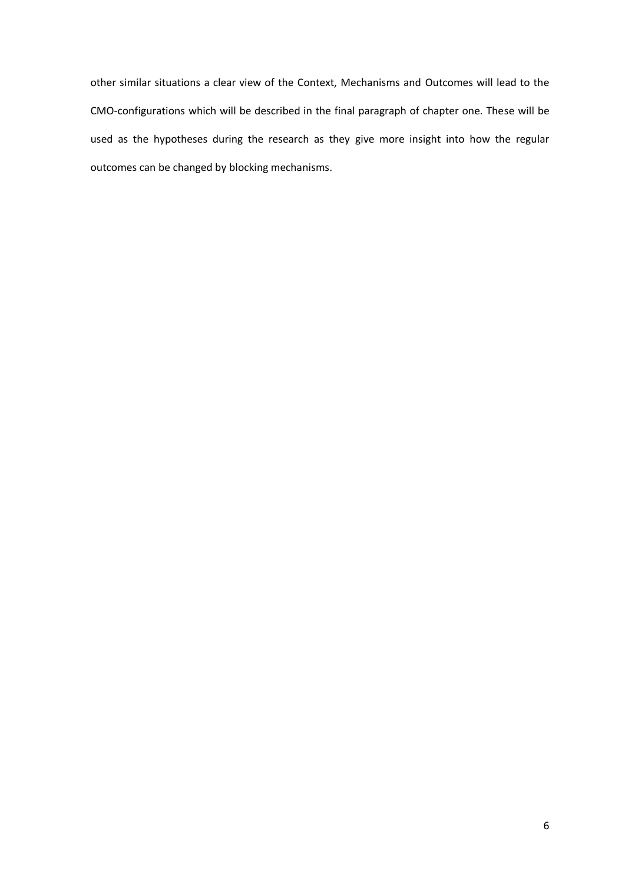other similar situations a clear view of the Context, Mechanisms and Outcomes will lead to the CMO-configurations which will be described in the final paragraph of chapter one. These will be used as the hypotheses during the research as they give more insight into how the regular outcomes can be changed by blocking mechanisms.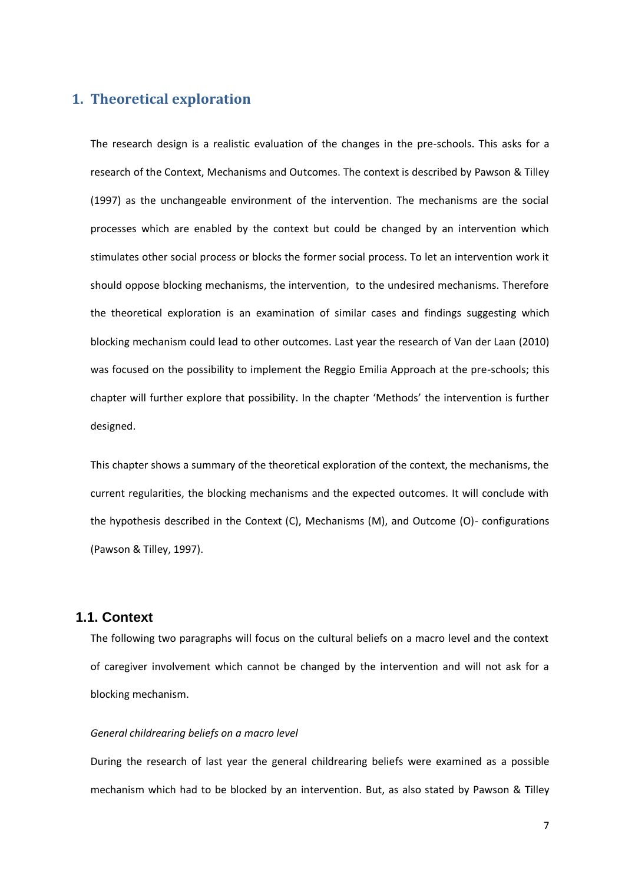## <span id="page-6-0"></span>**1. Theoretical exploration**

The research design is a realistic evaluation of the changes in the pre-schools. This asks for a research of the Context, Mechanisms and Outcomes. The context is described by Pawson & Tilley (1997) as the unchangeable environment of the intervention. The mechanisms are the social processes which are enabled by the context but could be changed by an intervention which stimulates other social process or blocks the former social process. To let an intervention work it should oppose blocking mechanisms, the intervention, to the undesired mechanisms. Therefore the theoretical exploration is an examination of similar cases and findings suggesting which blocking mechanism could lead to other outcomes. Last year the research of Van der Laan (2010) was focused on the possibility to implement the Reggio Emilia Approach at the pre-schools; this chapter will further explore that possibility. In the chapter 'Methods' the intervention is further designed.

This chapter shows a summary of the theoretical exploration of the context, the mechanisms, the current regularities, the blocking mechanisms and the expected outcomes. It will conclude with the hypothesis described in the Context (C), Mechanisms (M), and Outcome (O)- configurations (Pawson & Tilley, 1997).

## <span id="page-6-1"></span>**1.1. Context**

The following two paragraphs will focus on the cultural beliefs on a macro level and the context of caregiver involvement which cannot be changed by the intervention and will not ask for a blocking mechanism.

#### *General childrearing beliefs on a macro level*

During the research of last year the general childrearing beliefs were examined as a possible mechanism which had to be blocked by an intervention. But, as also stated by Pawson & Tilley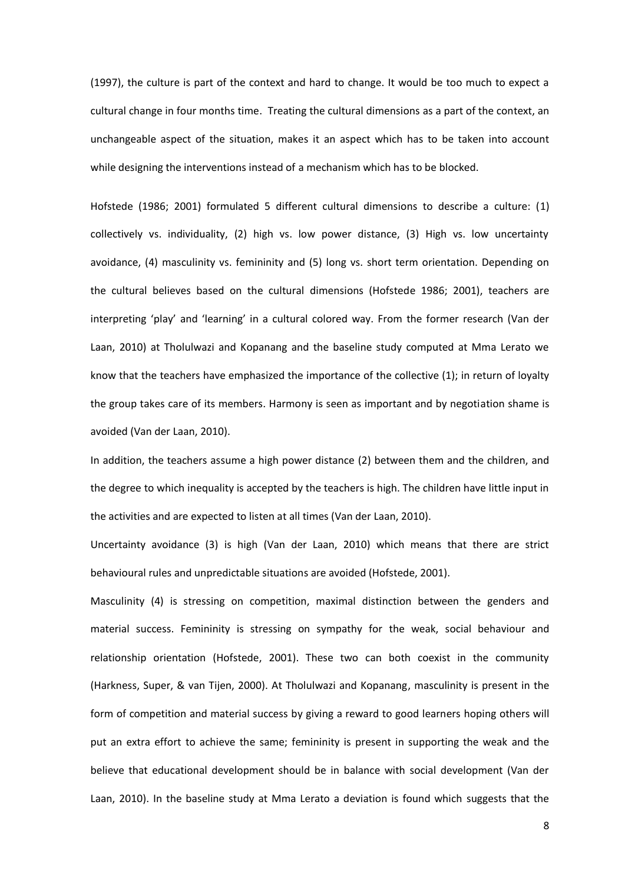(1997), the culture is part of the context and hard to change. It would be too much to expect a cultural change in four months time. Treating the cultural dimensions as a part of the context, an unchangeable aspect of the situation, makes it an aspect which has to be taken into account while designing the interventions instead of a mechanism which has to be blocked.

Hofstede (1986; 2001) formulated 5 different cultural dimensions to describe a culture: (1) collectively vs. individuality, (2) high vs. low power distance, (3) High vs. low uncertainty avoidance, (4) masculinity vs. femininity and (5) long vs. short term orientation. Depending on the cultural believes based on the cultural dimensions (Hofstede 1986; 2001), teachers are interpreting 'play' and 'learning' in a cultural colored way. From the former research (Van der Laan, 2010) at Tholulwazi and Kopanang and the baseline study computed at Mma Lerato we know that the teachers have emphasized the importance of the collective (1); in return of loyalty the group takes care of its members. Harmony is seen as important and by negotiation shame is avoided (Van der Laan, 2010).

In addition, the teachers assume a high power distance (2) between them and the children, and the degree to which inequality is accepted by the teachers is high. The children have little input in the activities and are expected to listen at all times (Van der Laan, 2010).

Uncertainty avoidance (3) is high (Van der Laan, 2010) which means that there are strict behavioural rules and unpredictable situations are avoided (Hofstede, 2001).

Masculinity (4) is stressing on competition, maximal distinction between the genders and material success. Femininity is stressing on sympathy for the weak, social behaviour and relationship orientation (Hofstede, 2001). These two can both coexist in the community (Harkness, Super, & van Tijen, 2000). At Tholulwazi and Kopanang, masculinity is present in the form of competition and material success by giving a reward to good learners hoping others will put an extra effort to achieve the same; femininity is present in supporting the weak and the believe that educational development should be in balance with social development (Van der Laan, 2010). In the baseline study at Mma Lerato a deviation is found which suggests that the

8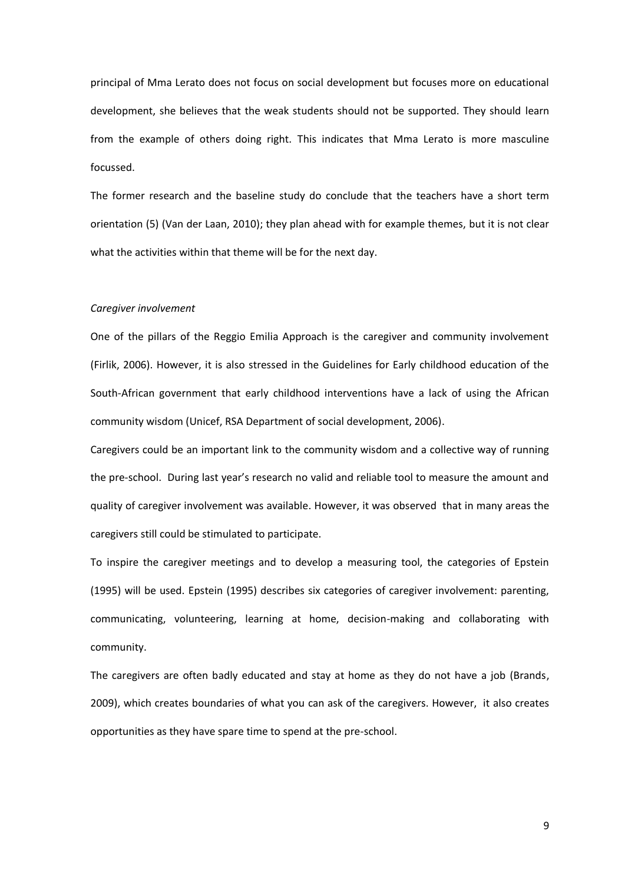principal of Mma Lerato does not focus on social development but focuses more on educational development, she believes that the weak students should not be supported. They should learn from the example of others doing right. This indicates that Mma Lerato is more masculine focussed.

The former research and the baseline study do conclude that the teachers have a short term orientation (5) (Van der Laan, 2010); they plan ahead with for example themes, but it is not clear what the activities within that theme will be for the next day.

#### *Caregiver involvement*

One of the pillars of the Reggio Emilia Approach is the caregiver and community involvement (Firlik, 2006). However, it is also stressed in the Guidelines for Early childhood education of the South-African government that early childhood interventions have a lack of using the African community wisdom (Unicef, RSA Department of social development, 2006).

Caregivers could be an important link to the community wisdom and a collective way of running the pre-school. During last year's research no valid and reliable tool to measure the amount and quality of caregiver involvement was available. However, it was observed that in many areas the caregivers still could be stimulated to participate.

To inspire the caregiver meetings and to develop a measuring tool, the categories of Epstein (1995) will be used. Epstein (1995) describes six categories of caregiver involvement: parenting, communicating, volunteering, learning at home, decision-making and collaborating with community.

The caregivers are often badly educated and stay at home as they do not have a job (Brands, 2009), which creates boundaries of what you can ask of the caregivers. However, it also creates opportunities as they have spare time to spend at the pre-school.

9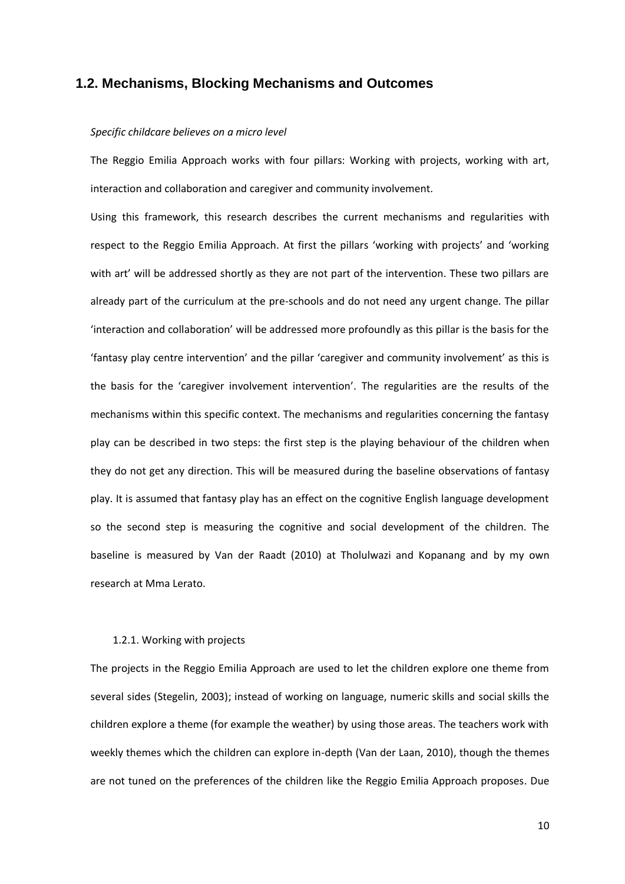## <span id="page-9-0"></span>**1.2. Mechanisms, Blocking Mechanisms and Outcomes**

#### *Specific childcare believes on a micro level*

The Reggio Emilia Approach works with four pillars: Working with projects, working with art, interaction and collaboration and caregiver and community involvement.

Using this framework, this research describes the current mechanisms and regularities with respect to the Reggio Emilia Approach. At first the pillars 'working with projects' and 'working with art' will be addressed shortly as they are not part of the intervention. These two pillars are already part of the curriculum at the pre-schools and do not need any urgent change. The pillar 'interaction and collaboration' will be addressed more profoundly as this pillar is the basis for the 'fantasy play centre intervention' and the pillar 'caregiver and community involvement' as this is the basis for the 'caregiver involvement intervention'. The regularities are the results of the mechanisms within this specific context. The mechanisms and regularities concerning the fantasy play can be described in two steps: the first step is the playing behaviour of the children when they do not get any direction. This will be measured during the baseline observations of fantasy play. It is assumed that fantasy play has an effect on the cognitive English language development so the second step is measuring the cognitive and social development of the children. The baseline is measured by Van der Raadt (2010) at Tholulwazi and Kopanang and by my own research at Mma Lerato.

#### 1.2.1. Working with projects

The projects in the Reggio Emilia Approach are used to let the children explore one theme from several sides (Stegelin, 2003); instead of working on language, numeric skills and social skills the children explore a theme (for example the weather) by using those areas. The teachers work with weekly themes which the children can explore in-depth (Van der Laan, 2010), though the themes are not tuned on the preferences of the children like the Reggio Emilia Approach proposes. Due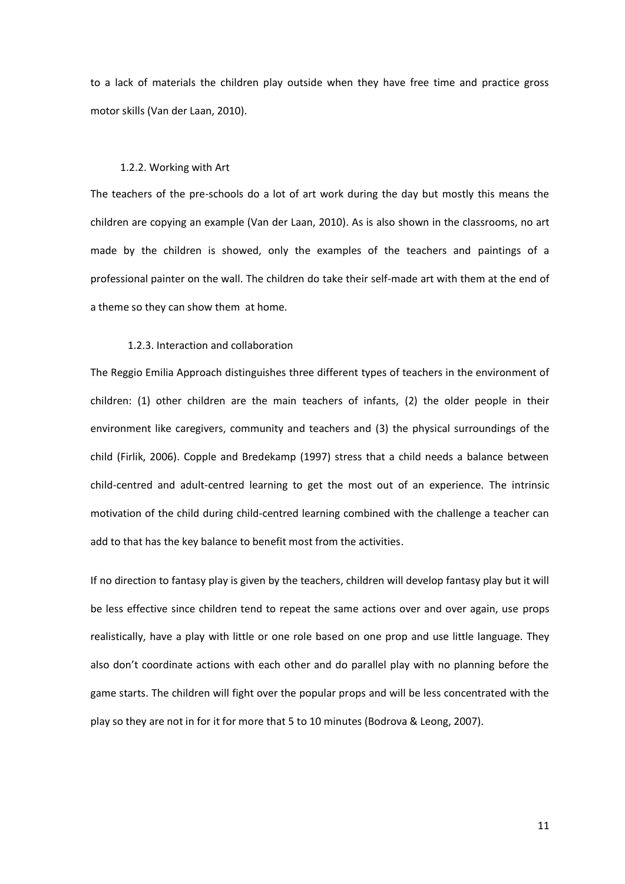to a lack of materials the children play outside when they have free time and practice gross motor skills (Van der Laan, 2010).

#### 1.2.2. Working with Art

The teachers of the pre-schools do a lot of art work during the day but mostly this means the children are copying an example (Van der Laan, 2010). As is also shown in the classrooms, no art made by the children is showed, only the examples of the teachers and paintings of a professional painter on the wall. The children do take their self-made art with them at the end of a theme so they can show them at home.

#### 1.2.3. Interaction and collaboration

The Reggio Emilia Approach distinguishes three different types of teachers in the environment of children: (1) other children are the main teachers of infants, (2) the older people in their environment like caregivers, community and teachers and (3) the physical surroundings of the child (Firlik, 2006). Copple and Bredekamp (1997) stress that a child needs a balance between child-centred and adult-centred learning to get the most out of an experience. The intrinsic motivation of the child during child-centred learning combined with the challenge a teacher can add to that has the key balance to benefit most from the activities.

If no direction to fantasy play is given by the teachers, children will develop fantasy play but it will be less effective since children tend to repeat the same actions over and over again, use props realistically, have a play with little or one role based on one prop and use little language. They also don't coordinate actions with each other and do parallel play with no planning before the game starts. The children will fight over the popular props and will be less concentrated with the play so they are not in for it for more that 5 to 10 minutes (Bodrova & Leong, 2007).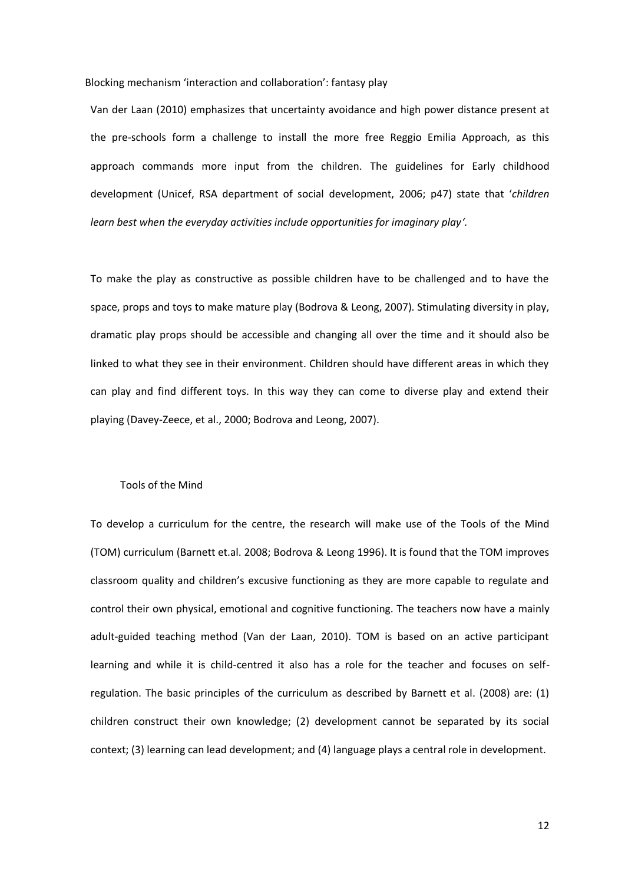#### Blocking mechanism 'interaction and collaboration': fantasy play

Van der Laan (2010) emphasizes that uncertainty avoidance and high power distance present at the pre-schools form a challenge to install the more free Reggio Emilia Approach, as this approach commands more input from the children. The guidelines for Early childhood development (Unicef, RSA department of social development, 2006; p47) state that '*children learn best when the everyday activities include opportunities for imaginary play'.*

To make the play as constructive as possible children have to be challenged and to have the space, props and toys to make mature play (Bodrova & Leong, 2007). Stimulating diversity in play, dramatic play props should be accessible and changing all over the time and it should also be linked to what they see in their environment. Children should have different areas in which they can play and find different toys. In this way they can come to diverse play and extend their playing (Davey-Zeece, et al., 2000; Bodrova and Leong, 2007).

#### Tools of the Mind

To develop a curriculum for the centre, the research will make use of the Tools of the Mind (TOM) curriculum (Barnett et.al. 2008; Bodrova & Leong 1996). It is found that the TOM improves classroom quality and children's excusive functioning as they are more capable to regulate and control their own physical, emotional and cognitive functioning. The teachers now have a mainly adult-guided teaching method (Van der Laan, 2010). TOM is based on an active participant learning and while it is child-centred it also has a role for the teacher and focuses on selfregulation. The basic principles of the curriculum as described by Barnett et al. (2008) are: (1) children construct their own knowledge; (2) development cannot be separated by its social context; (3) learning can lead development; and (4) language plays a central role in development.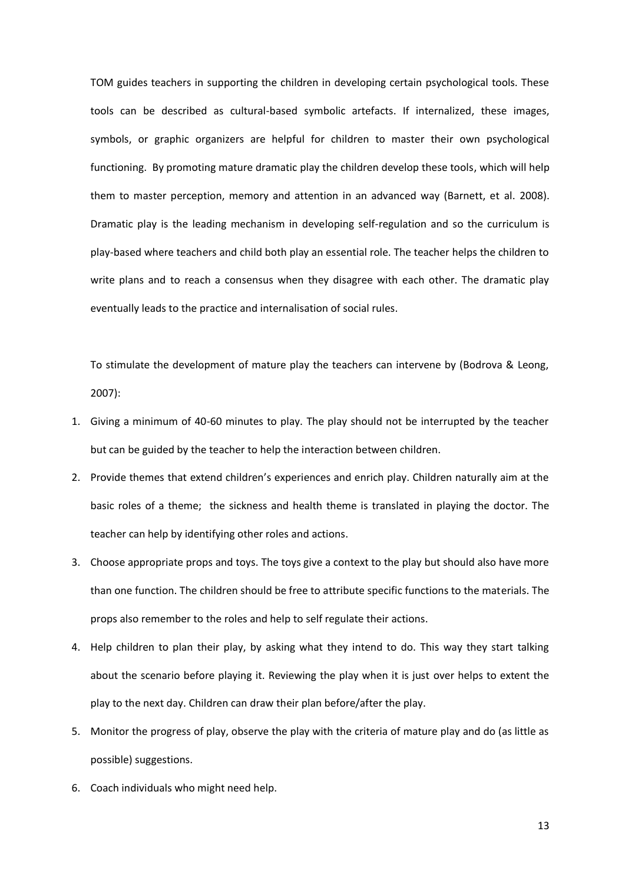TOM guides teachers in supporting the children in developing certain psychological tools. These tools can be described as cultural-based symbolic artefacts. If internalized, these images, symbols, or graphic organizers are helpful for children to master their own psychological functioning. By promoting mature dramatic play the children develop these tools, which will help them to master perception, memory and attention in an advanced way (Barnett, et al. 2008). Dramatic play is the leading mechanism in developing self-regulation and so the curriculum is play-based where teachers and child both play an essential role. The teacher helps the children to write plans and to reach a consensus when they disagree with each other. The dramatic play eventually leads to the practice and internalisation of social rules.

To stimulate the development of mature play the teachers can intervene by (Bodrova & Leong, 2007):

- 1. Giving a minimum of 40-60 minutes to play. The play should not be interrupted by the teacher but can be guided by the teacher to help the interaction between children.
- 2. Provide themes that extend children's experiences and enrich play. Children naturally aim at the basic roles of a theme; the sickness and health theme is translated in playing the doctor. The teacher can help by identifying other roles and actions.
- 3. Choose appropriate props and toys. The toys give a context to the play but should also have more than one function. The children should be free to attribute specific functions to the materials. The props also remember to the roles and help to self regulate their actions.
- 4. Help children to plan their play, by asking what they intend to do. This way they start talking about the scenario before playing it. Reviewing the play when it is just over helps to extent the play to the next day. Children can draw their plan before/after the play.
- 5. Monitor the progress of play, observe the play with the criteria of mature play and do (as little as possible) suggestions.
- 6. Coach individuals who might need help.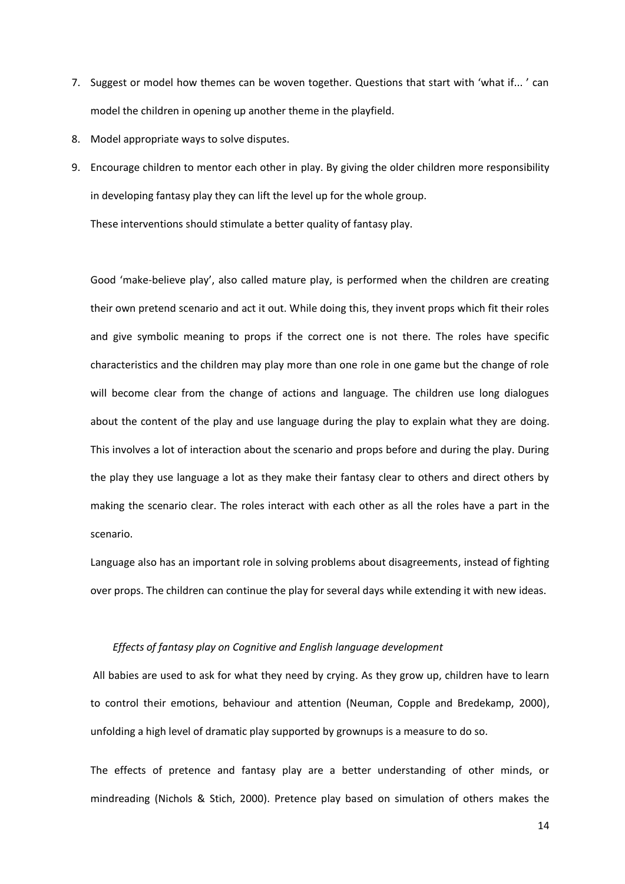- 7. Suggest or model how themes can be woven together. Questions that start with 'what if... ' can model the children in opening up another theme in the playfield.
- 8. Model appropriate ways to solve disputes.
- 9. Encourage children to mentor each other in play. By giving the older children more responsibility in developing fantasy play they can lift the level up for the whole group.

These interventions should stimulate a better quality of fantasy play.

Good 'make-believe play', also called mature play, is performed when the children are creating their own pretend scenario and act it out. While doing this, they invent props which fit their roles and give symbolic meaning to props if the correct one is not there. The roles have specific characteristics and the children may play more than one role in one game but the change of role will become clear from the change of actions and language. The children use long dialogues about the content of the play and use language during the play to explain what they are doing. This involves a lot of interaction about the scenario and props before and during the play. During the play they use language a lot as they make their fantasy clear to others and direct others by making the scenario clear. The roles interact with each other as all the roles have a part in the scenario.

Language also has an important role in solving problems about disagreements, instead of fighting over props. The children can continue the play for several days while extending it with new ideas.

#### *Effects of fantasy play on Cognitive and English language development*

All babies are used to ask for what they need by crying. As they grow up, children have to learn to control their emotions, behaviour and attention (Neuman, Copple and Bredekamp, 2000), unfolding a high level of dramatic play supported by grownups is a measure to do so.

The effects of pretence and fantasy play are a better understanding of other minds, or mindreading (Nichols & Stich, 2000). Pretence play based on simulation of others makes the

14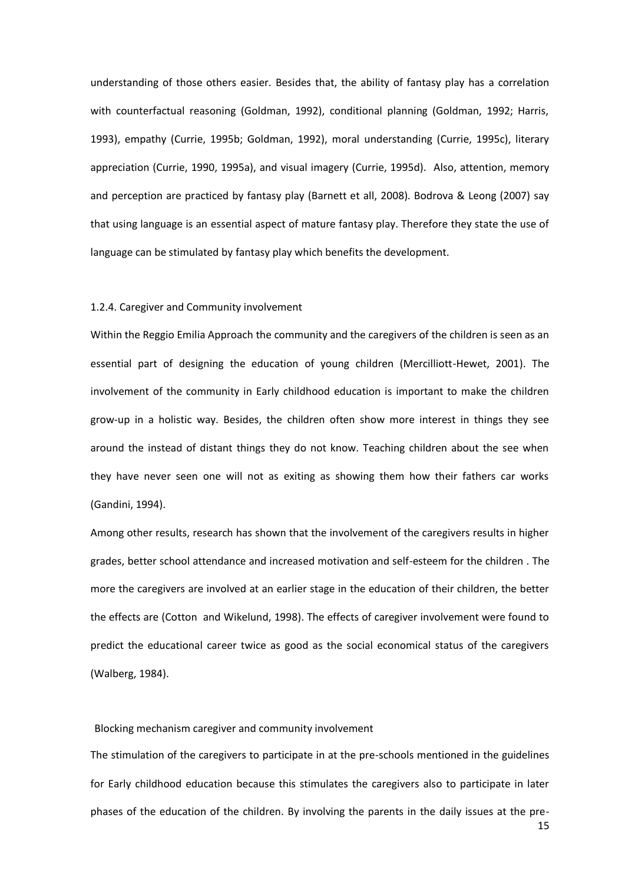understanding of those others easier. Besides that, the ability of fantasy play has a correlation with counterfactual reasoning (Goldman, 1992), conditional planning (Goldman, 1992; Harris, 1993), empathy (Currie, 1995b; Goldman, 1992), moral understanding (Currie, 1995c), literary appreciation (Currie, 1990, 1995a), and visual imagery (Currie, 1995d). Also, attention, memory and perception are practiced by fantasy play (Barnett et all, 2008). Bodrova & Leong (2007) say that using language is an essential aspect of mature fantasy play. Therefore they state the use of language can be stimulated by fantasy play which benefits the development.

#### 1.2.4. Caregiver and Community involvement

Within the Reggio Emilia Approach the community and the caregivers of the children is seen as an essential part of designing the education of young children (Mercilliott-Hewet, 2001). The involvement of the community in Early childhood education is important to make the children grow-up in a holistic way. Besides, the children often show more interest in things they see around the instead of distant things they do not know. Teaching children about the see when they have never seen one will not as exiting as showing them how their fathers car works (Gandini, 1994).

Among other results, research has shown that the involvement of the caregivers results in higher grades, better school attendance and increased motivation and self-esteem for the children . The more the caregivers are involved at an earlier stage in the education of their children, the better the effects are (Cotton and Wikelund, 1998). The effects of caregiver involvement were found to predict the educational career twice as good as the social economical status of the caregivers (Walberg, 1984).

#### Blocking mechanism caregiver and community involvement

The stimulation of the caregivers to participate in at the pre-schools mentioned in the guidelines for Early childhood education because this stimulates the caregivers also to participate in later phases of the education of the children. By involving the parents in the daily issues at the pre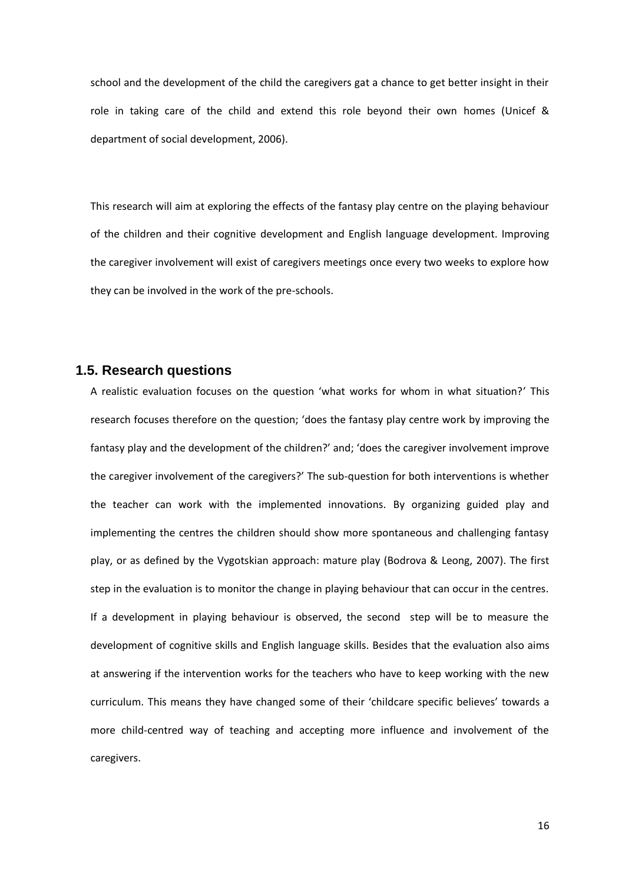school and the development of the child the caregivers gat a chance to get better insight in their role in taking care of the child and extend this role beyond their own homes (Unicef & department of social development, 2006).

This research will aim at exploring the effects of the fantasy play centre on the playing behaviour of the children and their cognitive development and English language development. Improving the caregiver involvement will exist of caregivers meetings once every two weeks to explore how they can be involved in the work of the pre-schools.

## <span id="page-15-0"></span>**1.5. Research questions**

A realistic evaluation focuses on the question 'what works for whom in what situation?' This research focuses therefore on the question; 'does the fantasy play centre work by improving the fantasy play and the development of the children?' and; 'does the caregiver involvement improve the caregiver involvement of the caregivers?' The sub-question for both interventions is whether the teacher can work with the implemented innovations. By organizing guided play and implementing the centres the children should show more spontaneous and challenging fantasy play, or as defined by the Vygotskian approach: mature play (Bodrova & Leong, 2007). The first step in the evaluation is to monitor the change in playing behaviour that can occur in the centres. If a development in playing behaviour is observed, the second step will be to measure the development of cognitive skills and English language skills. Besides that the evaluation also aims at answering if the intervention works for the teachers who have to keep working with the new curriculum. This means they have changed some of their 'childcare specific believes' towards a more child-centred way of teaching and accepting more influence and involvement of the caregivers.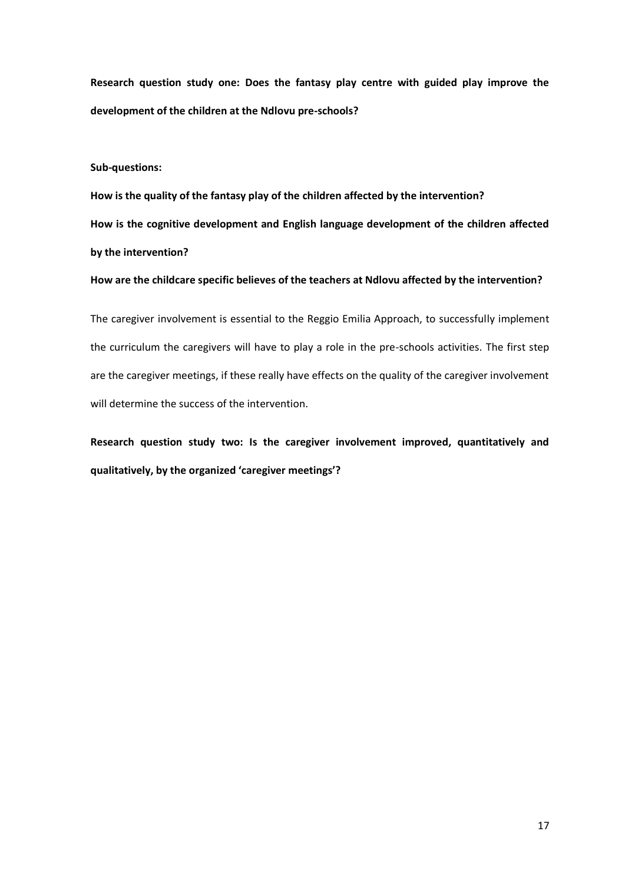**Research question study one: Does the fantasy play centre with guided play improve the development of the children at the Ndlovu pre-schools?** 

#### **Sub-questions:**

**How is the quality of the fantasy play of the children affected by the intervention? How is the cognitive development and English language development of the children affected by the intervention?**

#### **How are the childcare specific believes of the teachers at Ndlovu affected by the intervention?**

The caregiver involvement is essential to the Reggio Emilia Approach, to successfully implement the curriculum the caregivers will have to play a role in the pre-schools activities. The first step are the caregiver meetings, if these really have effects on the quality of the caregiver involvement will determine the success of the intervention.

**Research question study two: Is the caregiver involvement improved, quantitatively and qualitatively, by the organized 'caregiver meetings'?**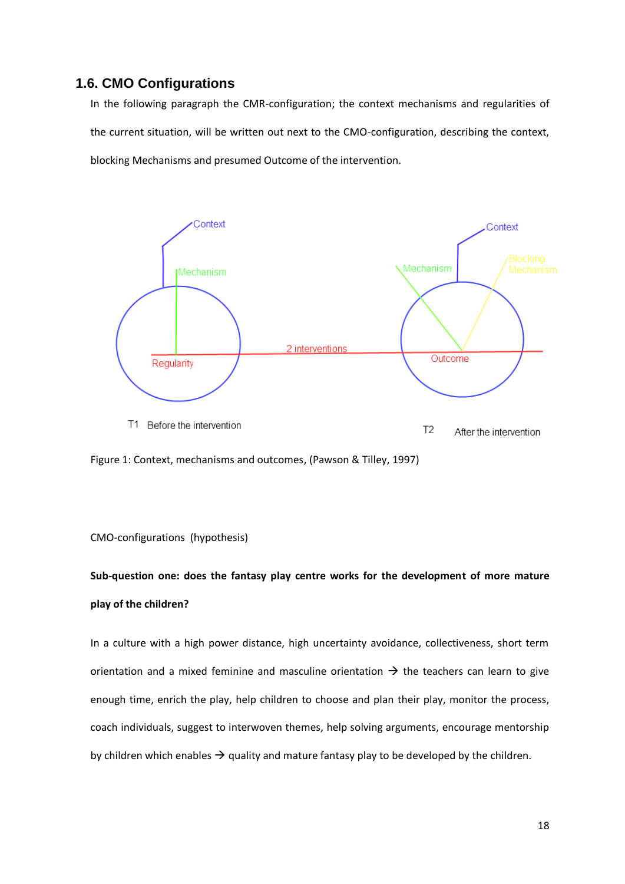## <span id="page-17-0"></span>**1.6. CMO Configurations**

In the following paragraph the CMR-configuration; the context mechanisms and regularities of the current situation, will be written out next to the CMO-configuration, describing the context, blocking Mechanisms and presumed Outcome of the intervention.



Figure 1: Context, mechanisms and outcomes, (Pawson & Tilley, 1997)

### CMO-configurations (hypothesis)

# **Sub-question one: does the fantasy play centre works for the development of more mature play of the children?**

In a culture with a high power distance, high uncertainty avoidance, collectiveness, short term orientation and a mixed feminine and masculine orientation  $\rightarrow$  the teachers can learn to give enough time, enrich the play, help children to choose and plan their play, monitor the process, coach individuals, suggest to interwoven themes, help solving arguments, encourage mentorship by children which enables  $\rightarrow$  quality and mature fantasy play to be developed by the children.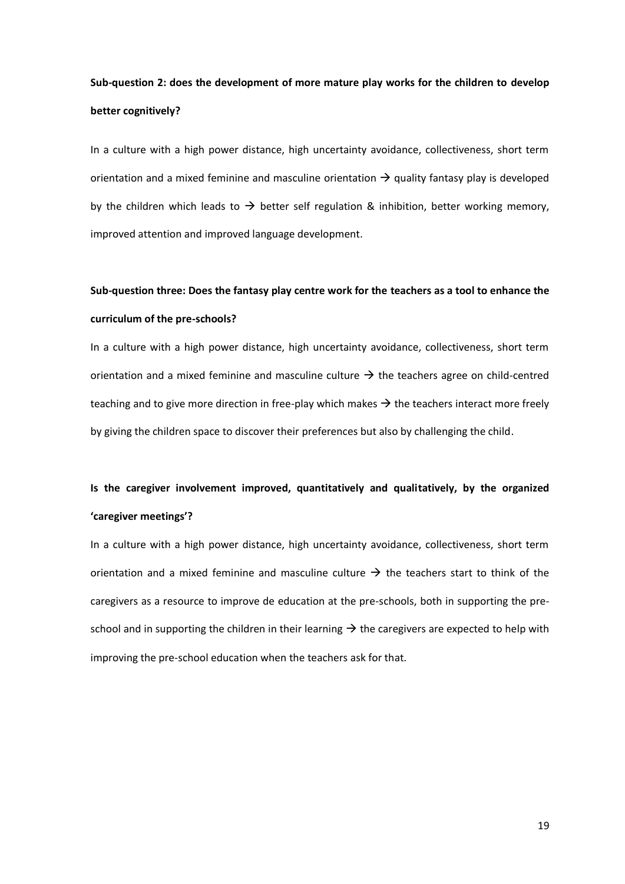# **Sub-question 2: does the development of more mature play works for the children to develop better cognitively?**

In a culture with a high power distance, high uncertainty avoidance, collectiveness, short term orientation and a mixed feminine and masculine orientation  $\rightarrow$  quality fantasy play is developed by the children which leads to  $\rightarrow$  better self regulation & inhibition, better working memory, improved attention and improved language development.

# **Sub-question three: Does the fantasy play centre work for the teachers as a tool to enhance the curriculum of the pre-schools?**

In a culture with a high power distance, high uncertainty avoidance, collectiveness, short term orientation and a mixed feminine and masculine culture  $\rightarrow$  the teachers agree on child-centred teaching and to give more direction in free-play which makes  $\rightarrow$  the teachers interact more freely by giving the children space to discover their preferences but also by challenging the child.

# **Is the caregiver involvement improved, quantitatively and qualitatively, by the organized 'caregiver meetings'?**

In a culture with a high power distance, high uncertainty avoidance, collectiveness, short term orientation and a mixed feminine and masculine culture  $\rightarrow$  the teachers start to think of the caregivers as a resource to improve de education at the pre-schools, both in supporting the preschool and in supporting the children in their learning  $\rightarrow$  the caregivers are expected to help with improving the pre-school education when the teachers ask for that.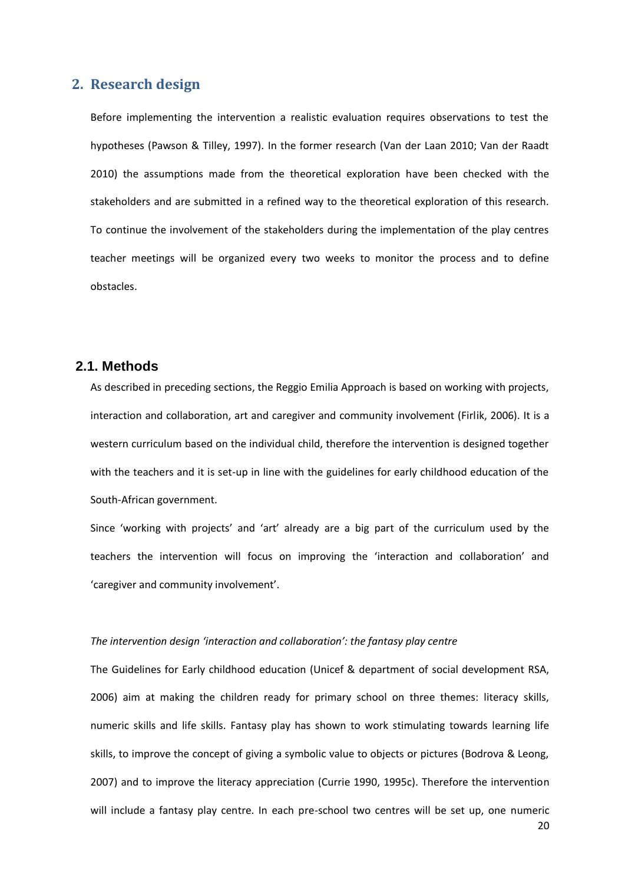## <span id="page-19-0"></span>**2. Research design**

Before implementing the intervention a realistic evaluation requires observations to test the hypotheses (Pawson & Tilley, 1997). In the former research (Van der Laan 2010; Van der Raadt 2010) the assumptions made from the theoretical exploration have been checked with the stakeholders and are submitted in a refined way to the theoretical exploration of this research. To continue the involvement of the stakeholders during the implementation of the play centres teacher meetings will be organized every two weeks to monitor the process and to define obstacles.

## <span id="page-19-1"></span>**2.1. Methods**

As described in preceding sections, the Reggio Emilia Approach is based on working with projects, interaction and collaboration, art and caregiver and community involvement (Firlik, 2006). It is a western curriculum based on the individual child, therefore the intervention is designed together with the teachers and it is set-up in line with the guidelines for early childhood education of the South-African government.

Since 'working with projects' and 'art' already are a big part of the curriculum used by the teachers the intervention will focus on improving the 'interaction and collaboration' and 'caregiver and community involvement'.

#### *The intervention design 'interaction and collaboration': the fantasy play centre*

The Guidelines for Early childhood education (Unicef & department of social development RSA, 2006) aim at making the children ready for primary school on three themes: literacy skills, numeric skills and life skills. Fantasy play has shown to work stimulating towards learning life skills, to improve the concept of giving a symbolic value to objects or pictures (Bodrova & Leong, 2007) and to improve the literacy appreciation (Currie 1990, 1995c). Therefore the intervention will include a fantasy play centre. In each pre-school two centres will be set up, one numeric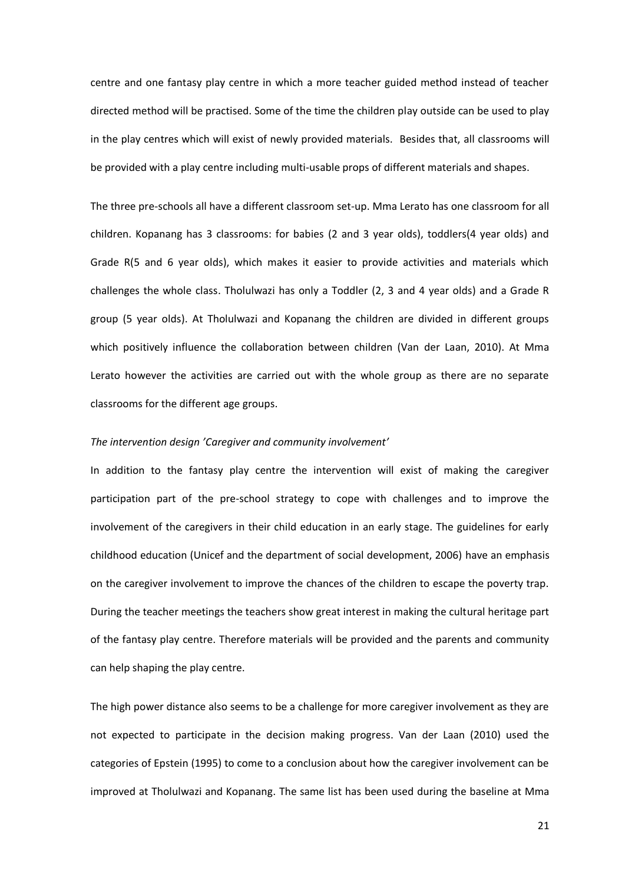centre and one fantasy play centre in which a more teacher guided method instead of teacher directed method will be practised. Some of the time the children play outside can be used to play in the play centres which will exist of newly provided materials. Besides that, all classrooms will be provided with a play centre including multi-usable props of different materials and shapes.

The three pre-schools all have a different classroom set-up. Mma Lerato has one classroom for all children. Kopanang has 3 classrooms: for babies (2 and 3 year olds), toddlers(4 year olds) and Grade R(5 and 6 year olds), which makes it easier to provide activities and materials which challenges the whole class. Tholulwazi has only a Toddler (2, 3 and 4 year olds) and a Grade R group (5 year olds). At Tholulwazi and Kopanang the children are divided in different groups which positively influence the collaboration between children (Van der Laan, 2010). At Mma Lerato however the activities are carried out with the whole group as there are no separate classrooms for the different age groups.

#### *The intervention design 'Caregiver and community involvement'*

In addition to the fantasy play centre the intervention will exist of making the caregiver participation part of the pre-school strategy to cope with challenges and to improve the involvement of the caregivers in their child education in an early stage. The guidelines for early childhood education (Unicef and the department of social development, 2006) have an emphasis on the caregiver involvement to improve the chances of the children to escape the poverty trap. During the teacher meetings the teachers show great interest in making the cultural heritage part of the fantasy play centre. Therefore materials will be provided and the parents and community can help shaping the play centre.

The high power distance also seems to be a challenge for more caregiver involvement as they are not expected to participate in the decision making progress. Van der Laan (2010) used the categories of Epstein (1995) to come to a conclusion about how the caregiver involvement can be improved at Tholulwazi and Kopanang. The same list has been used during the baseline at Mma

21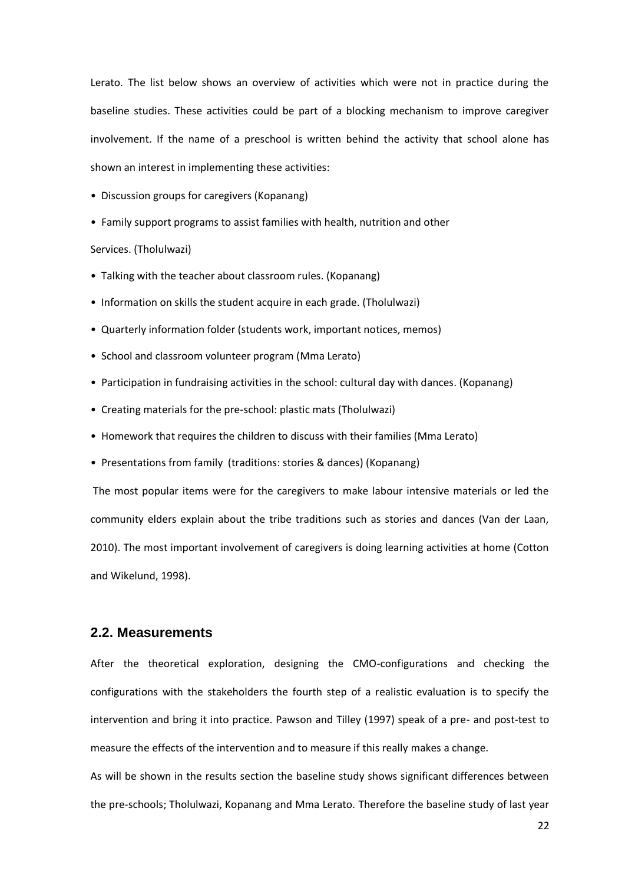Lerato. The list below shows an overview of activities which were not in practice during the baseline studies. These activities could be part of a blocking mechanism to improve caregiver involvement. If the name of a preschool is written behind the activity that school alone has shown an interest in implementing these activities:

- Discussion groups for caregivers (Kopanang)
- Family support programs to assist families with health, nutrition and other

Services. (Tholulwazi)

- Talking with the teacher about classroom rules. (Kopanang)
- Information on skills the student acquire in each grade. (Tholulwazi)
- Quarterly information folder (students work, important notices, memos)
- School and classroom volunteer program (Mma Lerato)
- Participation in fundraising activities in the school: cultural day with dances. (Kopanang)
- Creating materials for the pre-school: plastic mats (Tholulwazi)
- Homework that requires the children to discuss with their families (Mma Lerato)
- Presentations from family (traditions: stories & dances) (Kopanang)

The most popular items were for the caregivers to make labour intensive materials or led the community elders explain about the tribe traditions such as stories and dances (Van der Laan, 2010). The most important involvement of caregivers is doing learning activities at home (Cotton and Wikelund, 1998).

### <span id="page-21-0"></span>**2.2. Measurements**

After the theoretical exploration, designing the CMO-configurations and checking the configurations with the stakeholders the fourth step of a realistic evaluation is to specify the intervention and bring it into practice. Pawson and Tilley (1997) speak of a pre- and post-test to measure the effects of the intervention and to measure if this really makes a change.

As will be shown in the results section the baseline study shows significant differences between the pre-schools; Tholulwazi, Kopanang and Mma Lerato. Therefore the baseline study of last year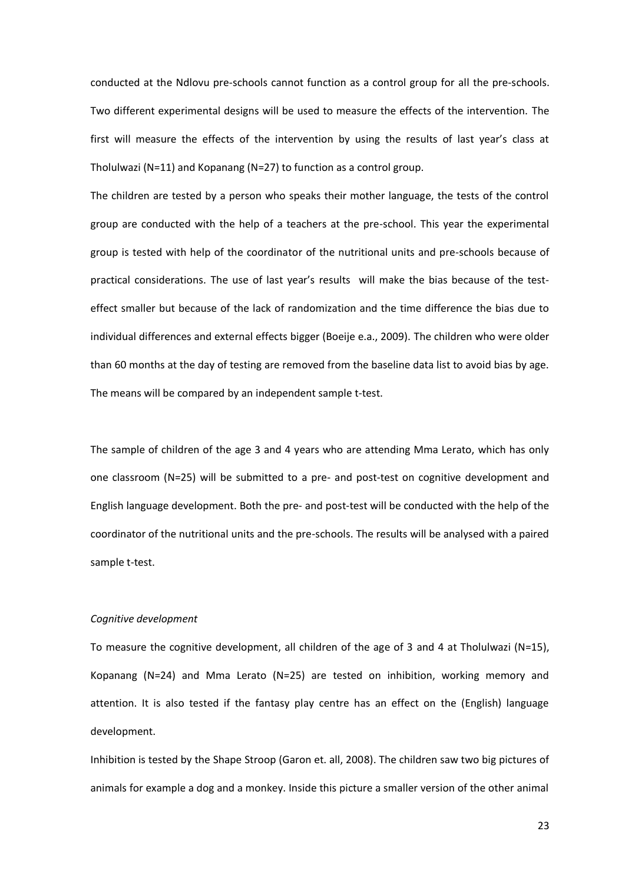conducted at the Ndlovu pre-schools cannot function as a control group for all the pre-schools. Two different experimental designs will be used to measure the effects of the intervention. The first will measure the effects of the intervention by using the results of last year's class at Tholulwazi (N=11) and Kopanang (N=27) to function as a control group.

The children are tested by a person who speaks their mother language, the tests of the control group are conducted with the help of a teachers at the pre-school. This year the experimental group is tested with help of the coordinator of the nutritional units and pre-schools because of practical considerations. The use of last year's results will make the bias because of the testeffect smaller but because of the lack of randomization and the time difference the bias due to individual differences and external effects bigger (Boeije e.a., 2009). The children who were older than 60 months at the day of testing are removed from the baseline data list to avoid bias by age. The means will be compared by an independent sample t-test.

The sample of children of the age 3 and 4 years who are attending Mma Lerato, which has only one classroom (N=25) will be submitted to a pre- and post-test on cognitive development and English language development. Both the pre- and post-test will be conducted with the help of the coordinator of the nutritional units and the pre-schools. The results will be analysed with a paired sample t-test.

#### *Cognitive development*

To measure the cognitive development, all children of the age of 3 and 4 at Tholulwazi (N=15), Kopanang (N=24) and Mma Lerato (N=25) are tested on inhibition, working memory and attention. It is also tested if the fantasy play centre has an effect on the (English) language development.

Inhibition is tested by the Shape Stroop (Garon et. all, 2008). The children saw two big pictures of animals for example a dog and a monkey. Inside this picture a smaller version of the other animal

23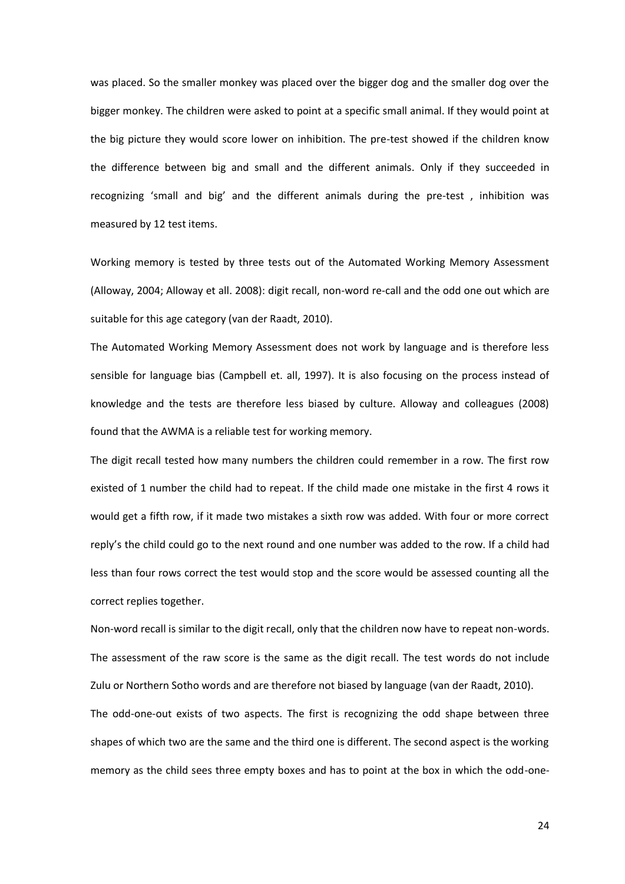was placed. So the smaller monkey was placed over the bigger dog and the smaller dog over the bigger monkey. The children were asked to point at a specific small animal. If they would point at the big picture they would score lower on inhibition. The pre-test showed if the children know the difference between big and small and the different animals. Only if they succeeded in recognizing 'small and big' and the different animals during the pre-test , inhibition was measured by 12 test items.

Working memory is tested by three tests out of the Automated Working Memory Assessment (Alloway, 2004; Alloway et all. 2008): digit recall, non-word re-call and the odd one out which are suitable for this age category (van der Raadt, 2010).

The Automated Working Memory Assessment does not work by language and is therefore less sensible for language bias (Campbell et. all, 1997). It is also focusing on the process instead of knowledge and the tests are therefore less biased by culture. Alloway and colleagues (2008) found that the AWMA is a reliable test for working memory.

The digit recall tested how many numbers the children could remember in a row. The first row existed of 1 number the child had to repeat. If the child made one mistake in the first 4 rows it would get a fifth row, if it made two mistakes a sixth row was added. With four or more correct reply's the child could go to the next round and one number was added to the row. If a child had less than four rows correct the test would stop and the score would be assessed counting all the correct replies together.

Non-word recall is similar to the digit recall, only that the children now have to repeat non-words. The assessment of the raw score is the same as the digit recall. The test words do not include Zulu or Northern Sotho words and are therefore not biased by language (van der Raadt, 2010). The odd-one-out exists of two aspects. The first is recognizing the odd shape between three shapes of which two are the same and the third one is different. The second aspect is the working memory as the child sees three empty boxes and has to point at the box in which the odd-one-

24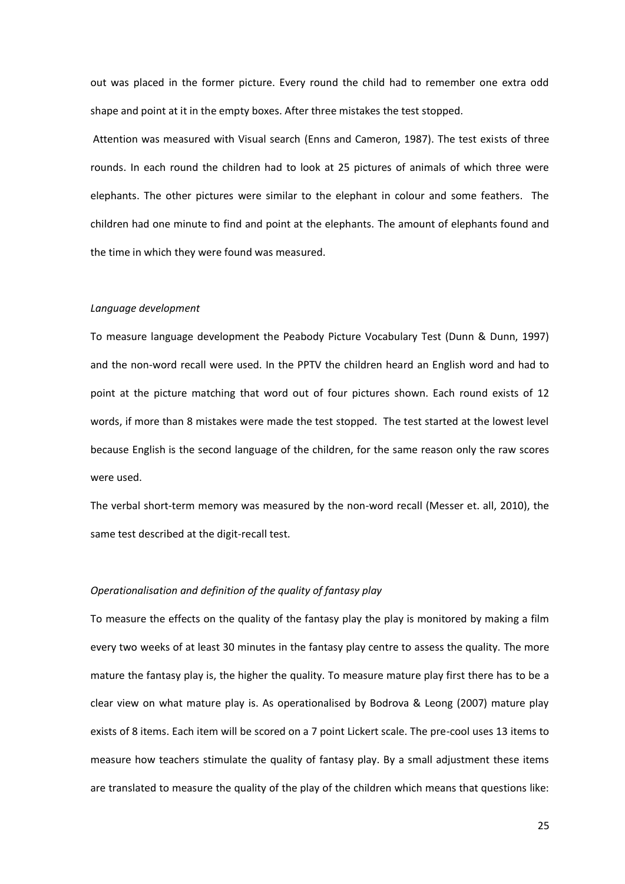out was placed in the former picture. Every round the child had to remember one extra odd shape and point at it in the empty boxes. After three mistakes the test stopped.

Attention was measured with Visual search (Enns and Cameron, 1987). The test exists of three rounds. In each round the children had to look at 25 pictures of animals of which three were elephants. The other pictures were similar to the elephant in colour and some feathers. The children had one minute to find and point at the elephants. The amount of elephants found and the time in which they were found was measured.

#### *Language development*

To measure language development the Peabody Picture Vocabulary Test (Dunn & Dunn, 1997) and the non-word recall were used. In the PPTV the children heard an English word and had to point at the picture matching that word out of four pictures shown. Each round exists of 12 words, if more than 8 mistakes were made the test stopped. The test started at the lowest level because English is the second language of the children, for the same reason only the raw scores were used.

The verbal short-term memory was measured by the non-word recall (Messer et. all, 2010), the same test described at the digit-recall test.

#### *Operationalisation and definition of the quality of fantasy play*

To measure the effects on the quality of the fantasy play the play is monitored by making a film every two weeks of at least 30 minutes in the fantasy play centre to assess the quality. The more mature the fantasy play is, the higher the quality. To measure mature play first there has to be a clear view on what mature play is. As operationalised by Bodrova & Leong (2007) mature play exists of 8 items. Each item will be scored on a 7 point Lickert scale. The pre-cool uses 13 items to measure how teachers stimulate the quality of fantasy play. By a small adjustment these items are translated to measure the quality of the play of the children which means that questions like: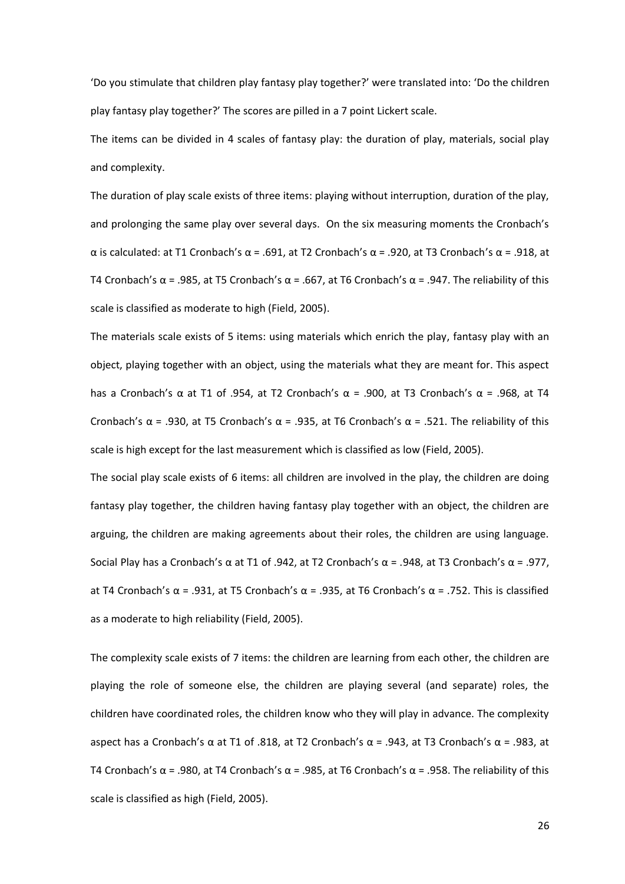'Do you stimulate that children play fantasy play together?' were translated into: 'Do the children play fantasy play together?' The scores are pilled in a 7 point Lickert scale.

The items can be divided in 4 scales of fantasy play: the duration of play, materials, social play and complexity.

The duration of play scale exists of three items: playing without interruption, duration of the play, and prolonging the same play over several days. On the six measuring moments the Cronbach's α is calculated: at T1 Cronbach's α = .691, at T2 Cronbach's α = .920, at T3 Cronbach's α = .918, at T4 Cronbach's α = .985, at T5 Cronbach's α = .667, at T6 Cronbach's α = .947. The reliability of this scale is classified as moderate to high (Field, 2005).

The materials scale exists of 5 items: using materials which enrich the play, fantasy play with an object, playing together with an object, using the materials what they are meant for. This aspect has a Cronbach's α at T1 of .954, at T2 Cronbach's α = .900, at T3 Cronbach's α = .968, at T4 Cronbach's α = .930, at T5 Cronbach's α = .935, at T6 Cronbach's α = .521. The reliability of this scale is high except for the last measurement which is classified as low (Field, 2005).

The social play scale exists of 6 items: all children are involved in the play, the children are doing fantasy play together, the children having fantasy play together with an object, the children are arguing, the children are making agreements about their roles, the children are using language. Social Play has a Cronbach's α at T1 of .942, at T2 Cronbach's α = .948, at T3 Cronbach's α = .977, at T4 Cronbach's α = .931, at T5 Cronbach's α = .935, at T6 Cronbach's α = .752. This is classified as a moderate to high reliability (Field, 2005).

The complexity scale exists of 7 items: the children are learning from each other, the children are playing the role of someone else, the children are playing several (and separate) roles, the children have coordinated roles, the children know who they will play in advance. The complexity aspect has a Cronbach's α at T1 of .818, at T2 Cronbach's  $\alpha$  = .943, at T3 Cronbach's α = .983, at T4 Cronbach's α = .980, at T4 Cronbach's α = .985, at T6 Cronbach's α = .958. The reliability of this scale is classified as high (Field, 2005).

26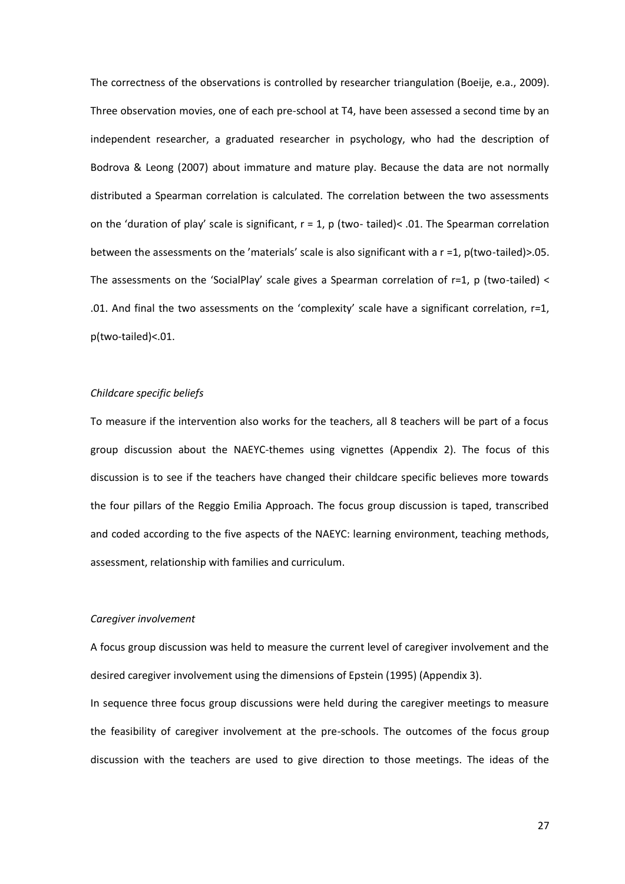The correctness of the observations is controlled by researcher triangulation (Boeije, e.a., 2009). Three observation movies, one of each pre-school at T4, have been assessed a second time by an independent researcher, a graduated researcher in psychology, who had the description of Bodrova & Leong (2007) about immature and mature play. Because the data are not normally distributed a Spearman correlation is calculated. The correlation between the two assessments on the 'duration of play' scale is significant,  $r = 1$ , p (two- tailed)< .01. The Spearman correlation between the assessments on the 'materials' scale is also significant with a  $r = 1$ ,  $p(two-tailed) > .05$ . The assessments on the 'SocialPlay' scale gives a Spearman correlation of r=1, p (two-tailed) < .01. And final the two assessments on the 'complexity' scale have a significant correlation, r=1, p(two-tailed)<.01.

#### *Childcare specific beliefs*

To measure if the intervention also works for the teachers, all 8 teachers will be part of a focus group discussion about the NAEYC-themes using vignettes (Appendix 2). The focus of this discussion is to see if the teachers have changed their childcare specific believes more towards the four pillars of the Reggio Emilia Approach. The focus group discussion is taped, transcribed and coded according to the five aspects of the NAEYC: learning environment, teaching methods, assessment, relationship with families and curriculum.

#### *Caregiver involvement*

A focus group discussion was held to measure the current level of caregiver involvement and the desired caregiver involvement using the dimensions of Epstein (1995) (Appendix 3).

In sequence three focus group discussions were held during the caregiver meetings to measure the feasibility of caregiver involvement at the pre-schools. The outcomes of the focus group discussion with the teachers are used to give direction to those meetings. The ideas of the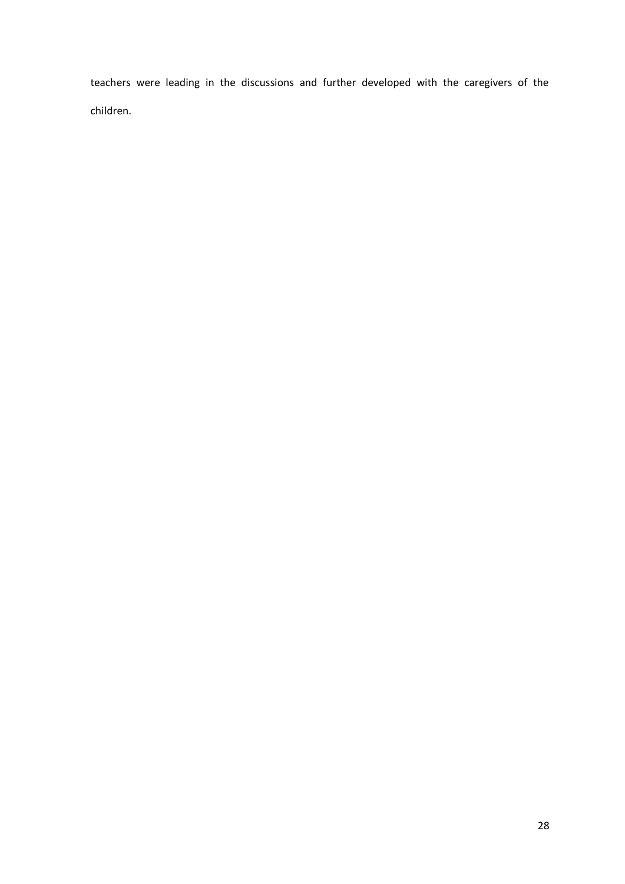teachers were leading in the discussions and further developed with the caregivers of the children.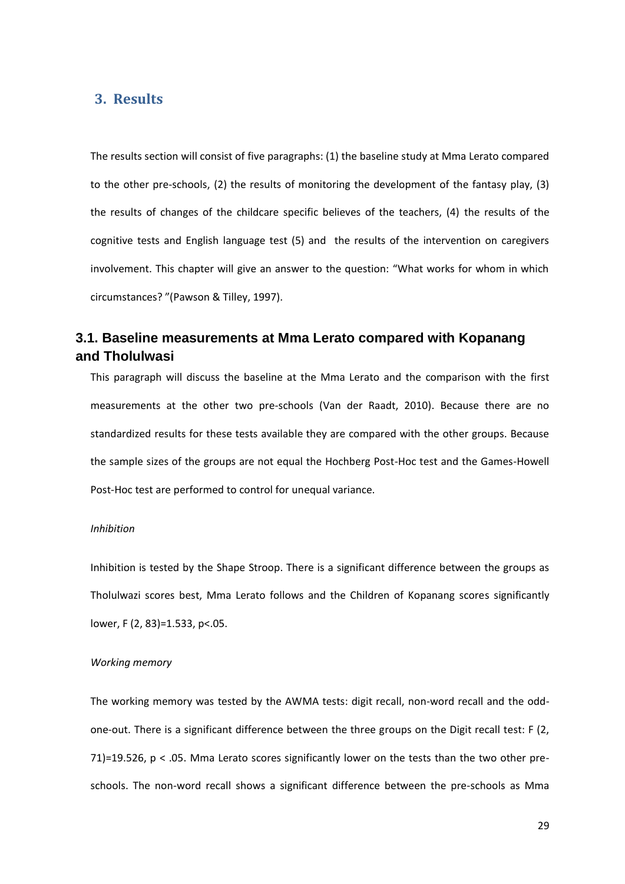## <span id="page-28-0"></span>**3. Results**

The results section will consist of five paragraphs: (1) the baseline study at Mma Lerato compared to the other pre-schools, (2) the results of monitoring the development of the fantasy play, (3) the results of changes of the childcare specific believes of the teachers, (4) the results of the cognitive tests and English language test (5) and the results of the intervention on caregivers involvement. This chapter will give an answer to the question: "What works for whom in which circumstances? "(Pawson & Tilley, 1997).

## <span id="page-28-1"></span>**3.1. Baseline measurements at Mma Lerato compared with Kopanang and Tholulwasi**

This paragraph will discuss the baseline at the Mma Lerato and the comparison with the first measurements at the other two pre-schools (Van der Raadt, 2010). Because there are no standardized results for these tests available they are compared with the other groups. Because the sample sizes of the groups are not equal the Hochberg Post-Hoc test and the Games-Howell Post-Hoc test are performed to control for unequal variance.

#### *Inhibition*

Inhibition is tested by the Shape Stroop. There is a significant difference between the groups as Tholulwazi scores best, Mma Lerato follows and the Children of Kopanang scores significantly lower, F (2, 83)=1.533, p<.05.

#### *Working memory*

The working memory was tested by the AWMA tests: digit recall, non-word recall and the oddone-out. There is a significant difference between the three groups on the Digit recall test: F (2, 71)=19.526,  $p < 0.05$ . Mma Lerato scores significantly lower on the tests than the two other preschools. The non-word recall shows a significant difference between the pre-schools as Mma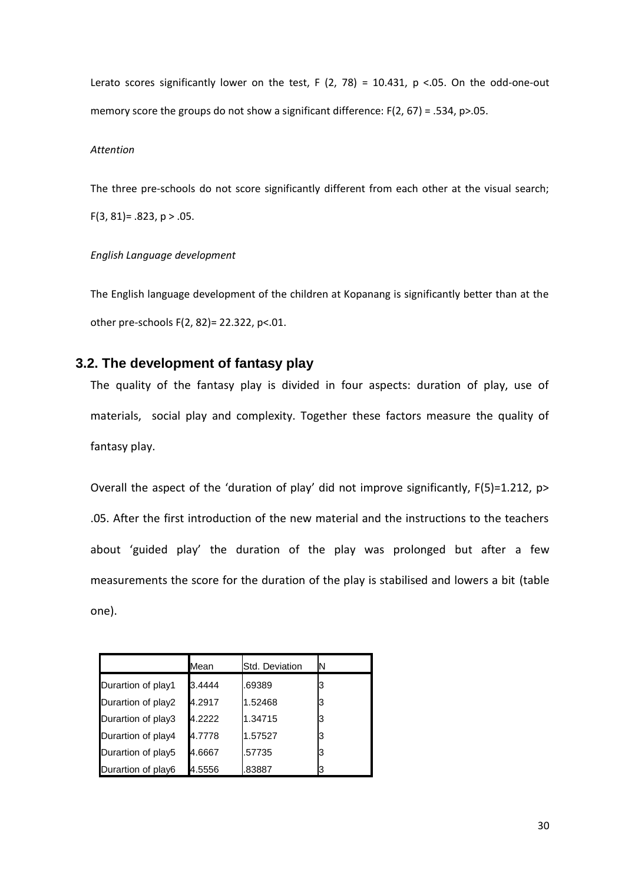Lerato scores significantly lower on the test, F (2, 78) = 10.431, p <.05. On the odd-one-out memory score the groups do not show a significant difference:  $F(2, 67) = .534$ ,  $p > .05$ .

#### *Attention*

The three pre-schools do not score significantly different from each other at the visual search;  $F(3, 81) = .823$ ,  $p > .05$ .

#### *English Language development*

The English language development of the children at Kopanang is significantly better than at the other pre-schools F(2, 82)= 22.322, p<.01.

## <span id="page-29-0"></span>**3.2. The development of fantasy play**

The quality of the fantasy play is divided in four aspects: duration of play, use of materials, social play and complexity. Together these factors measure the quality of fantasy play.

Overall the aspect of the 'duration of play' did not improve significantly, F(5)=1.212, p> .05. After the first introduction of the new material and the instructions to the teachers about 'guided play' the duration of the play was prolonged but after a few measurements the score for the duration of the play is stabilised and lowers a bit (table one).

|                    | Mean   | Std. Deviation | N |
|--------------------|--------|----------------|---|
| Durartion of play1 | 3.4444 | .69389         | 3 |
| Durartion of play2 | 4.2917 | 1.52468        | 3 |
| Durartion of play3 | 4.2222 | 1.34715        | 3 |
| Durartion of play4 | 4.7778 | 1.57527        | з |
| Durartion of play5 | 4.6667 | .57735         | 3 |
| Durartion of play6 | 4.5556 | .83887         |   |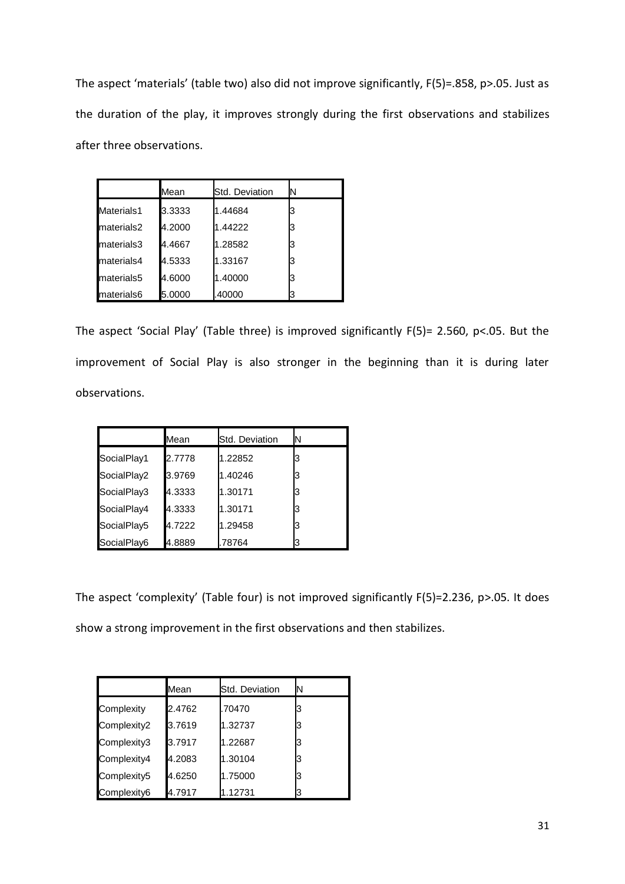The aspect 'materials' (table two) also did not improve significantly, F(5)=.858, p>.05. Just as the duration of the play, it improves strongly during the first observations and stabilizes after three observations.

|            | Mean   | Std. Deviation | N |
|------------|--------|----------------|---|
| Materials1 | 3.3333 | 1.44684        |   |
| materials2 | 4.2000 | 1.44222        |   |
| materials3 | 4.4667 | 1.28582        |   |
| materials4 | 4.5333 | 1.33167        |   |
| materials5 | 4.6000 | 1.40000        |   |
| materials6 | 5.0000 | .40000         |   |

The aspect 'Social Play' (Table three) is improved significantly F(5)= 2.560, p<.05. But the improvement of Social Play is also stronger in the beginning than it is during later observations.

|             | Mean   | Std. Deviation | IN |
|-------------|--------|----------------|----|
| SocialPlay1 | 2.7778 | 1.22852        |    |
| SocialPlay2 | 3.9769 | 1.40246        |    |
| SocialPlay3 | 4.3333 | 1.30171        |    |
| SocialPlay4 | 4.3333 | 1.30171        |    |
| SocialPlay5 | 4.7222 | 1.29458        |    |
| SocialPlay6 | 4.8889 | .78764         |    |

The aspect 'complexity' (Table four) is not improved significantly F(5)=2.236, p>.05. It does show a strong improvement in the first observations and then stabilizes.

|             | Mean   | Std. Deviation | ΙN |
|-------------|--------|----------------|----|
| Complexity  | 2.4762 | .70470         | З  |
| Complexity2 | 3.7619 | 1.32737        | IЗ |
| Complexity3 | 3.7917 | 1.22687        | З  |
| Complexity4 | 4.2083 | 1.30104        | IЗ |
| Complexity5 | 4.6250 | 1.75000        | IЗ |
| Complexity6 | 4.7917 | 1.12731        | З  |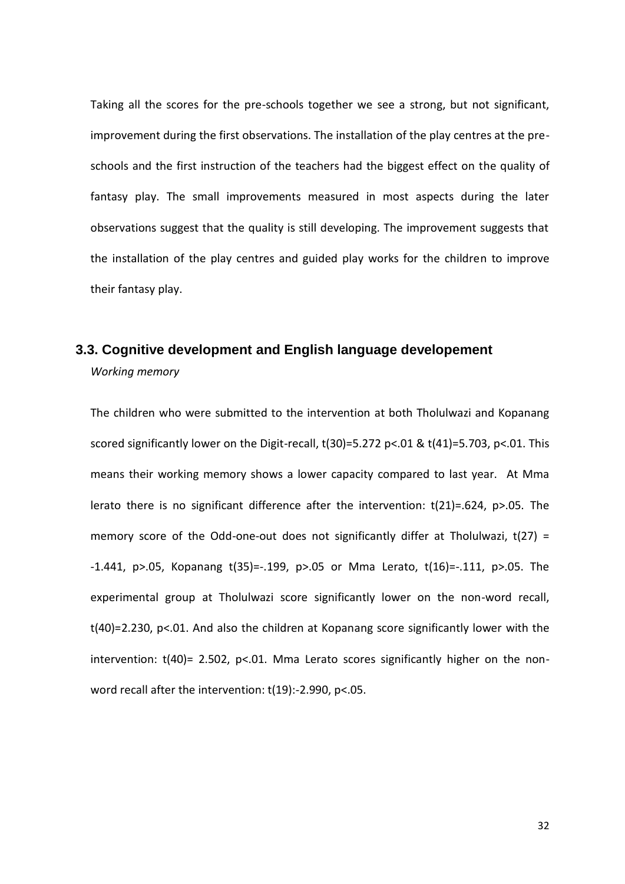Taking all the scores for the pre-schools together we see a strong, but not significant, improvement during the first observations. The installation of the play centres at the preschools and the first instruction of the teachers had the biggest effect on the quality of fantasy play. The small improvements measured in most aspects during the later observations suggest that the quality is still developing. The improvement suggests that the installation of the play centres and guided play works for the children to improve their fantasy play.

## <span id="page-31-0"></span>**3.3. Cognitive development and English language developement** *Working memory*

The children who were submitted to the intervention at both Tholulwazi and Kopanang scored significantly lower on the Digit-recall, t(30)=5.272 p<.01 & t(41)=5.703, p<.01. This means their working memory shows a lower capacity compared to last year. At Mma lerato there is no significant difference after the intervention: t(21)=.624, p>.05. The memory score of the Odd-one-out does not significantly differ at Tholulwazi,  $t(27) =$ -1.441, p>.05, Kopanang t(35)=-.199, p>.05 or Mma Lerato, t(16)=-.111, p>.05. The experimental group at Tholulwazi score significantly lower on the non-word recall, t(40)=2.230, p<.01. And also the children at Kopanang score significantly lower with the intervention:  $t(40)$ = 2.502, p<.01. Mma Lerato scores significantly higher on the nonword recall after the intervention: t(19):-2.990, p<.05.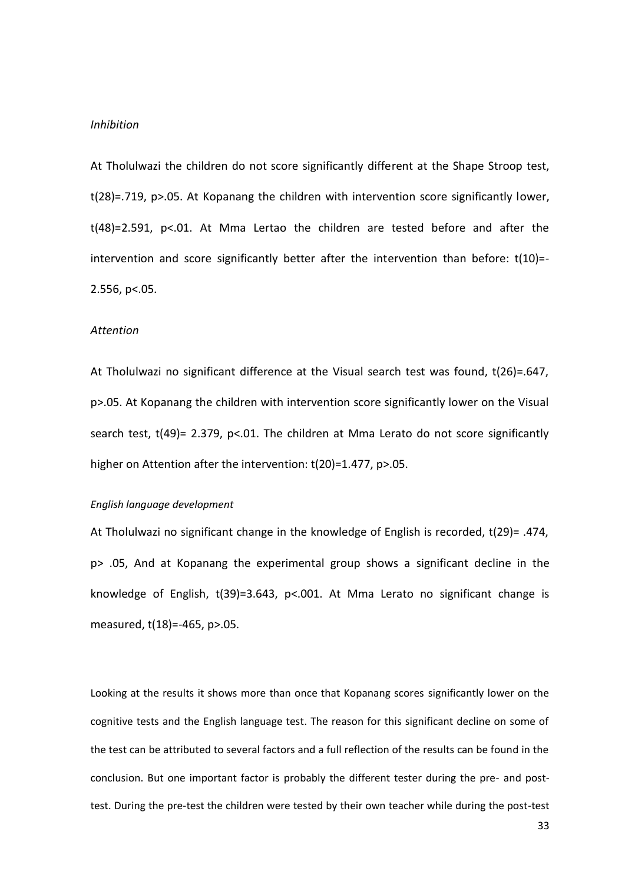#### *Inhibition*

At Tholulwazi the children do not score significantly different at the Shape Stroop test, t(28)=.719, p>.05. At Kopanang the children with intervention score significantly lower, t(48)=2.591, p<.01. At Mma Lertao the children are tested before and after the intervention and score significantly better after the intervention than before: t(10)=- 2.556, p<.05.

#### *Attention*

At Tholulwazi no significant difference at the Visual search test was found, t(26)=.647, p>.05. At Kopanang the children with intervention score significantly lower on the Visual search test,  $t(49)$ = 2.379, p<.01. The children at Mma Lerato do not score significantly higher on Attention after the intervention: t(20)=1.477, p>.05.

#### *English language development*

At Tholulwazi no significant change in the knowledge of English is recorded, t(29)= .474, p> .05, And at Kopanang the experimental group shows a significant decline in the knowledge of English, t(39)=3.643, p<.001. At Mma Lerato no significant change is measured, t(18)=-465, p>.05.

Looking at the results it shows more than once that Kopanang scores significantly lower on the cognitive tests and the English language test. The reason for this significant decline on some of the test can be attributed to several factors and a full reflection of the results can be found in the conclusion. But one important factor is probably the different tester during the pre- and posttest. During the pre-test the children were tested by their own teacher while during the post-test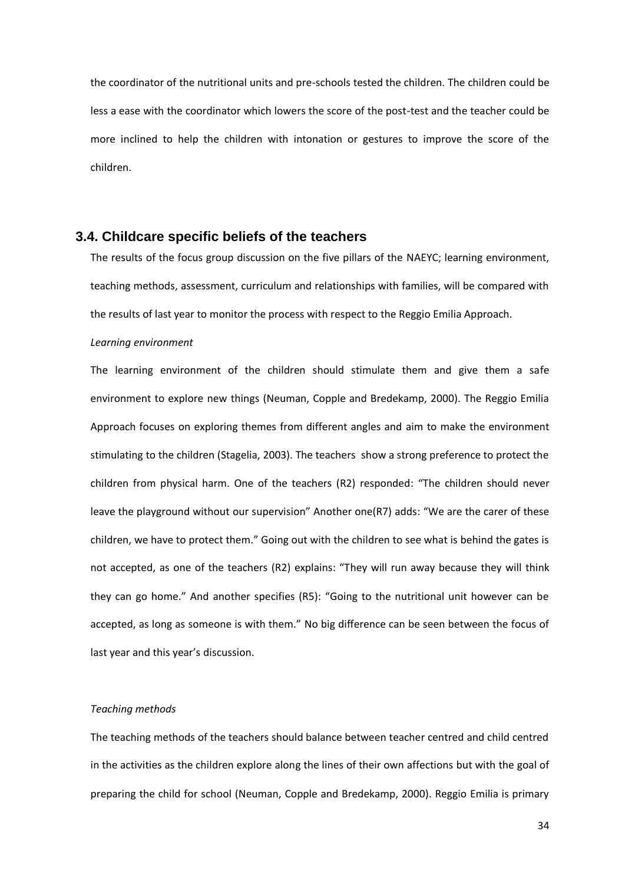the coordinator of the nutritional units and pre-schools tested the children. The children could be less a ease with the coordinator which lowers the score of the post-test and the teacher could be more inclined to help the children with intonation or gestures to improve the score of the children.

### <span id="page-33-0"></span>**3.4. Childcare specific beliefs of the teachers**

The results of the focus group discussion on the five pillars of the NAEYC; learning environment, teaching methods, assessment, curriculum and relationships with families, will be compared with the results of last year to monitor the process with respect to the Reggio Emilia Approach.

#### *Learning environment*

The learning environment of the children should stimulate them and give them a safe environment to explore new things (Neuman, Copple and Bredekamp, 2000). The Reggio Emilia Approach focuses on exploring themes from different angles and aim to make the environment stimulating to the children (Stagelia, 2003). The teachers show a strong preference to protect the children from physical harm. One of the teachers (R2) responded: "The children should never leave the playground without our supervision" Another one(R7) adds: "We are the carer of these children, we have to protect them." Going out with the children to see what is behind the gates is not accepted, as one of the teachers (R2) explains: "They will run away because they will think they can go home." And another specifies (R5): "Going to the nutritional unit however can be accepted, as long as someone is with them." No big difference can be seen between the focus of last year and this year's discussion.

#### *Teaching methods*

The teaching methods of the teachers should balance between teacher centred and child centred in the activities as the children explore along the lines of their own affections but with the goal of preparing the child for school (Neuman, Copple and Bredekamp, 2000). Reggio Emilia is primary

34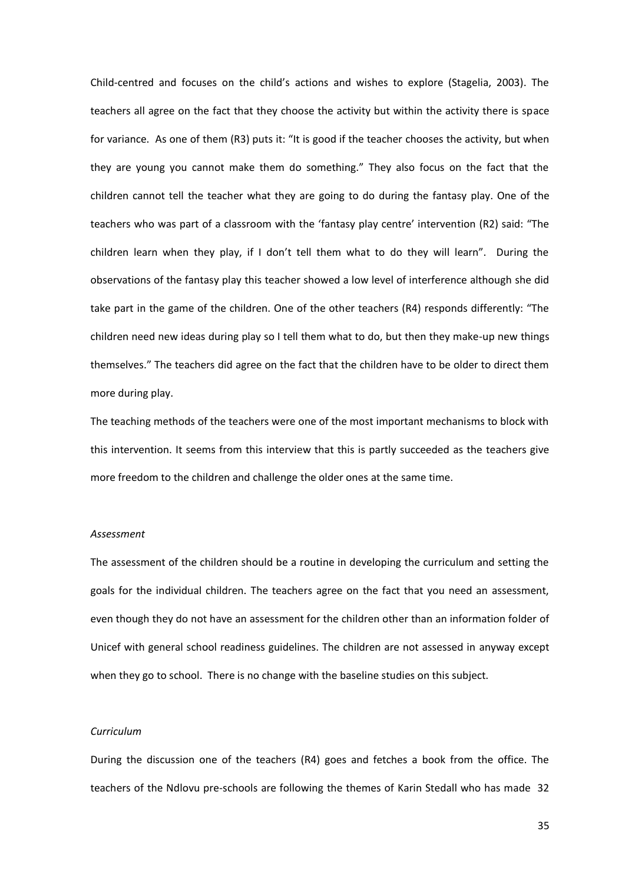Child-centred and focuses on the child's actions and wishes to explore (Stagelia, 2003). The teachers all agree on the fact that they choose the activity but within the activity there is space for variance. As one of them (R3) puts it: "It is good if the teacher chooses the activity, but when they are young you cannot make them do something." They also focus on the fact that the children cannot tell the teacher what they are going to do during the fantasy play. One of the teachers who was part of a classroom with the 'fantasy play centre' intervention (R2) said: "The children learn when they play, if I don't tell them what to do they will learn". During the observations of the fantasy play this teacher showed a low level of interference although she did take part in the game of the children. One of the other teachers (R4) responds differently: "The children need new ideas during play so I tell them what to do, but then they make-up new things themselves." The teachers did agree on the fact that the children have to be older to direct them more during play.

The teaching methods of the teachers were one of the most important mechanisms to block with this intervention. It seems from this interview that this is partly succeeded as the teachers give more freedom to the children and challenge the older ones at the same time.

#### *Assessment*

The assessment of the children should be a routine in developing the curriculum and setting the goals for the individual children. The teachers agree on the fact that you need an assessment, even though they do not have an assessment for the children other than an information folder of Unicef with general school readiness guidelines. The children are not assessed in anyway except when they go to school. There is no change with the baseline studies on this subject.

#### *Curriculum*

During the discussion one of the teachers (R4) goes and fetches a book from the office. The teachers of the Ndlovu pre-schools are following the themes of Karin Stedall who has made 32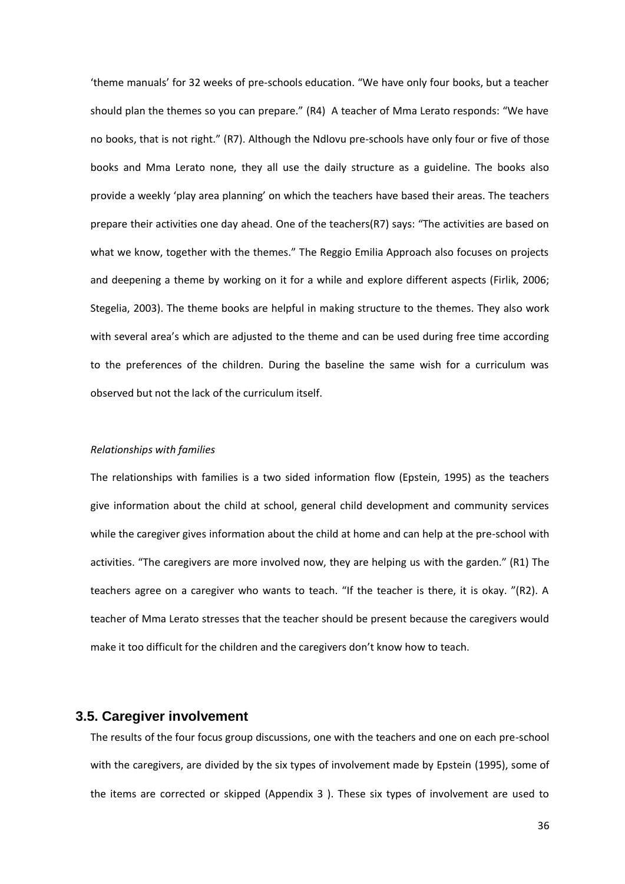'theme manuals' for 32 weeks of pre-schools education. "We have only four books, but a teacher should plan the themes so you can prepare." (R4) A teacher of Mma Lerato responds: "We have no books, that is not right." (R7). Although the Ndlovu pre-schools have only four or five of those books and Mma Lerato none, they all use the daily structure as a guideline. The books also provide a weekly 'play area planning' on which the teachers have based their areas. The teachers prepare their activities one day ahead. One of the teachers(R7) says: "The activities are based on what we know, together with the themes." The Reggio Emilia Approach also focuses on projects and deepening a theme by working on it for a while and explore different aspects (Firlik, 2006; Stegelia, 2003). The theme books are helpful in making structure to the themes. They also work with several area's which are adjusted to the theme and can be used during free time according to the preferences of the children. During the baseline the same wish for a curriculum was observed but not the lack of the curriculum itself.

#### *Relationships with families*

The relationships with families is a two sided information flow (Epstein, 1995) as the teachers give information about the child at school, general child development and community services while the caregiver gives information about the child at home and can help at the pre-school with activities. "The caregivers are more involved now, they are helping us with the garden." (R1) The teachers agree on a caregiver who wants to teach. "If the teacher is there, it is okay. "(R2). A teacher of Mma Lerato stresses that the teacher should be present because the caregivers would make it too difficult for the children and the caregivers don't know how to teach.

### <span id="page-35-0"></span>**3.5. Caregiver involvement**

The results of the four focus group discussions, one with the teachers and one on each pre-school with the caregivers, are divided by the six types of involvement made by Epstein (1995), some of the items are corrected or skipped (Appendix 3 ). These six types of involvement are used to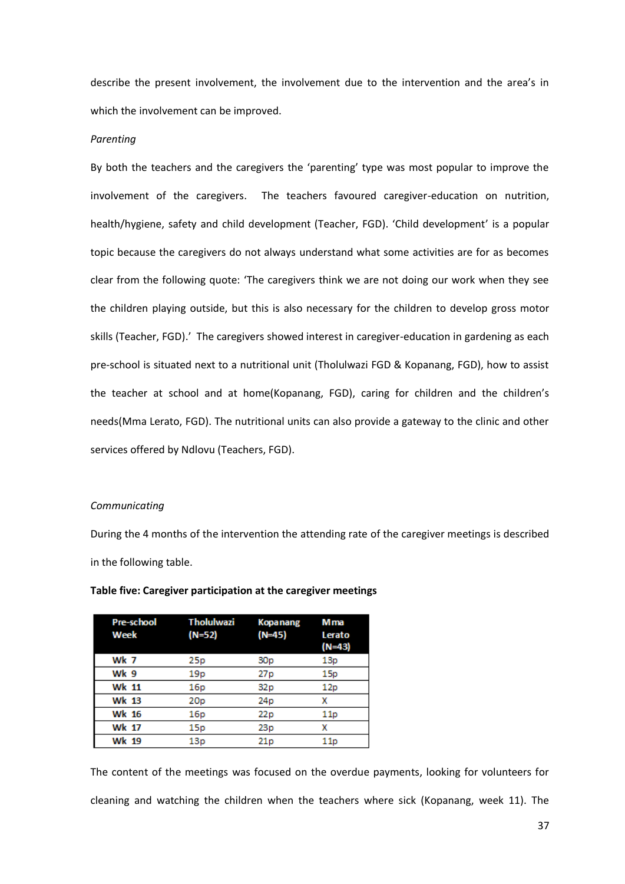describe the present involvement, the involvement due to the intervention and the area's in which the involvement can be improved.

#### *Parenting*

By both the teachers and the caregivers the 'parenting' type was most popular to improve the involvement of the caregivers. The teachers favoured caregiver-education on nutrition, health/hygiene, safety and child development (Teacher, FGD). 'Child development' is a popular topic because the caregivers do not always understand what some activities are for as becomes clear from the following quote: 'The caregivers think we are not doing our work when they see the children playing outside, but this is also necessary for the children to develop gross motor skills (Teacher, FGD).' The caregivers showed interest in caregiver-education in gardening as each pre-school is situated next to a nutritional unit (Tholulwazi FGD & Kopanang, FGD), how to assist the teacher at school and at home(Kopanang, FGD), caring for children and the children's needs(Mma Lerato, FGD). The nutritional units can also provide a gateway to the clinic and other services offered by Ndlovu (Teachers, FGD).

#### *Communicating*

During the 4 months of the intervention the attending rate of the caregiver meetings is described in the following table.

| <b>Pre-school</b><br>Week | <b>Tholulwazi</b><br>(N=52) | <b>Kopanang</b><br>$(N=45)$ | M ma<br>Lerato<br>$(N=43)$ |
|---------------------------|-----------------------------|-----------------------------|----------------------------|
| Wk 7                      | 25p                         | 30p                         | 13p                        |
| Wk 9                      | 19 <sub>p</sub>             | 27 p                        | 15p                        |
| <b>Wk 11</b>              | 16p                         | 32p                         | 12p                        |
| <b>Wk 13</b>              | 20 <sub>p</sub>             | 24 <sub>p</sub>             | x                          |
| <b>Wk 16</b>              | 16p                         | 22p                         | 11p                        |
| <b>Wk 17</b>              | 15p                         | 23p                         | x                          |
| <b>Wk 19</b>              | 13p                         | 21p                         | 11p                        |

#### **Table five: Caregiver participation at the caregiver meetings**

The content of the meetings was focused on the overdue payments, looking for volunteers for cleaning and watching the children when the teachers where sick (Kopanang, week 11). The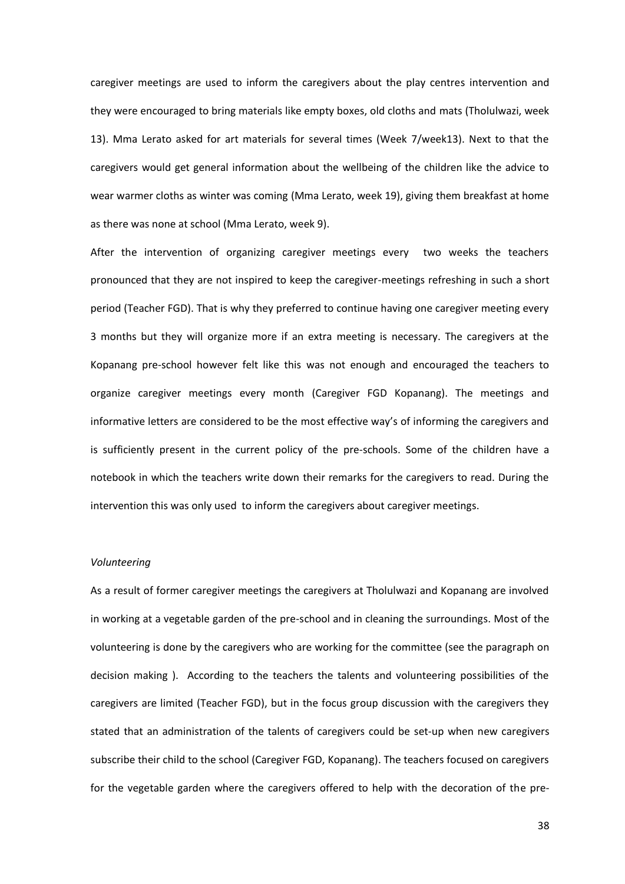caregiver meetings are used to inform the caregivers about the play centres intervention and they were encouraged to bring materials like empty boxes, old cloths and mats (Tholulwazi, week 13). Mma Lerato asked for art materials for several times (Week 7/week13). Next to that the caregivers would get general information about the wellbeing of the children like the advice to wear warmer cloths as winter was coming (Mma Lerato, week 19), giving them breakfast at home as there was none at school (Mma Lerato, week 9).

After the intervention of organizing caregiver meetings every two weeks the teachers pronounced that they are not inspired to keep the caregiver-meetings refreshing in such a short period (Teacher FGD). That is why they preferred to continue having one caregiver meeting every 3 months but they will organize more if an extra meeting is necessary. The caregivers at the Kopanang pre-school however felt like this was not enough and encouraged the teachers to organize caregiver meetings every month (Caregiver FGD Kopanang). The meetings and informative letters are considered to be the most effective way's of informing the caregivers and is sufficiently present in the current policy of the pre-schools. Some of the children have a notebook in which the teachers write down their remarks for the caregivers to read. During the intervention this was only used to inform the caregivers about caregiver meetings.

#### *Volunteering*

As a result of former caregiver meetings the caregivers at Tholulwazi and Kopanang are involved in working at a vegetable garden of the pre-school and in cleaning the surroundings. Most of the volunteering is done by the caregivers who are working for the committee (see the paragraph on decision making ). According to the teachers the talents and volunteering possibilities of the caregivers are limited (Teacher FGD), but in the focus group discussion with the caregivers they stated that an administration of the talents of caregivers could be set-up when new caregivers subscribe their child to the school (Caregiver FGD, Kopanang). The teachers focused on caregivers for the vegetable garden where the caregivers offered to help with the decoration of the pre-

38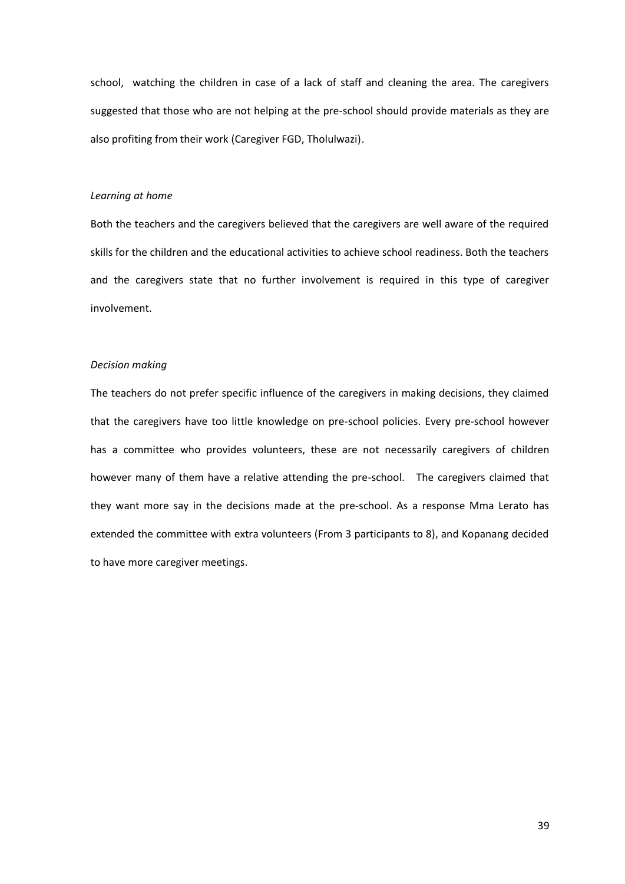school, watching the children in case of a lack of staff and cleaning the area. The caregivers suggested that those who are not helping at the pre-school should provide materials as they are also profiting from their work (Caregiver FGD, Tholulwazi).

#### *Learning at home*

Both the teachers and the caregivers believed that the caregivers are well aware of the required skills for the children and the educational activities to achieve school readiness. Both the teachers and the caregivers state that no further involvement is required in this type of caregiver involvement.

#### *Decision making*

The teachers do not prefer specific influence of the caregivers in making decisions, they claimed that the caregivers have too little knowledge on pre-school policies. Every pre-school however has a committee who provides volunteers, these are not necessarily caregivers of children however many of them have a relative attending the pre-school. The caregivers claimed that they want more say in the decisions made at the pre-school. As a response Mma Lerato has extended the committee with extra volunteers (From 3 participants to 8), and Kopanang decided to have more caregiver meetings.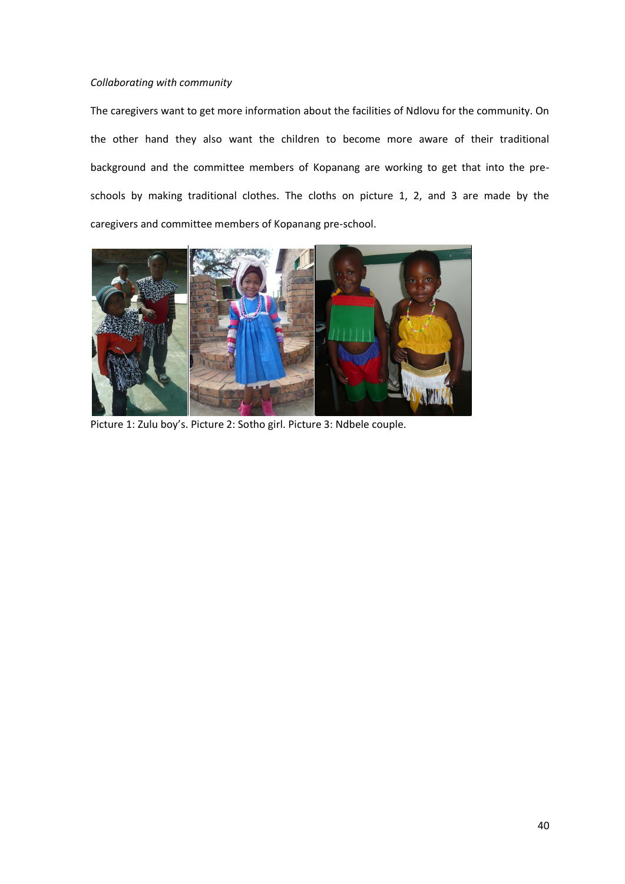#### *Collaborating with community*

The caregivers want to get more information about the facilities of Ndlovu for the community. On the other hand they also want the children to become more aware of their traditional background and the committee members of Kopanang are working to get that into the preschools by making traditional clothes. The cloths on picture 1, 2, and 3 are made by the caregivers and committee members of Kopanang pre-school.



Picture 1: Zulu boy's. Picture 2: Sotho girl. Picture 3: Ndbele couple.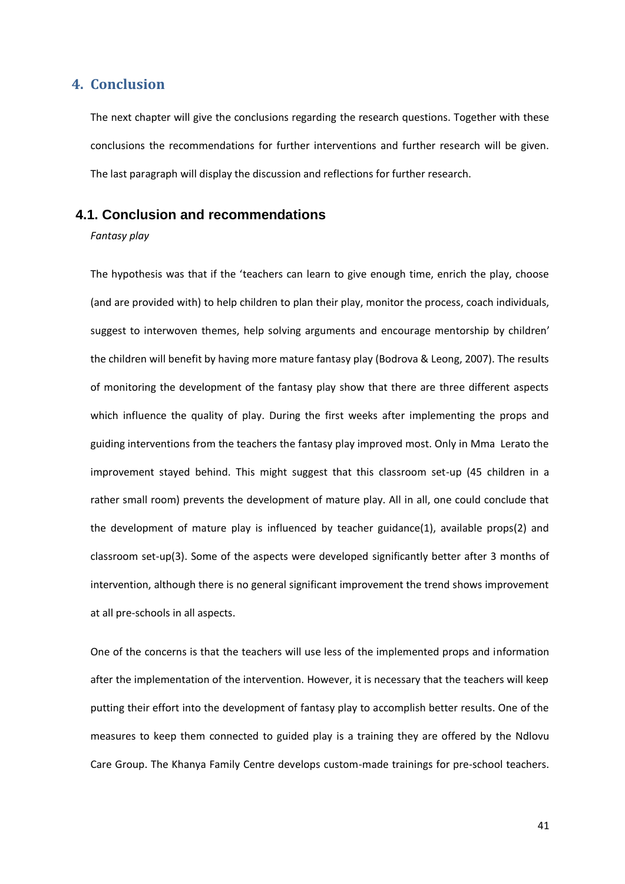## <span id="page-40-0"></span>**4. Conclusion**

The next chapter will give the conclusions regarding the research questions. Together with these conclusions the recommendations for further interventions and further research will be given. The last paragraph will display the discussion and reflections for further research.

## <span id="page-40-1"></span>**4.1. Conclusion and recommendations**

*Fantasy play* 

The hypothesis was that if the 'teachers can learn to give enough time, enrich the play, choose (and are provided with) to help children to plan their play, monitor the process, coach individuals, suggest to interwoven themes, help solving arguments and encourage mentorship by children' the children will benefit by having more mature fantasy play (Bodrova & Leong, 2007). The results of monitoring the development of the fantasy play show that there are three different aspects which influence the quality of play. During the first weeks after implementing the props and guiding interventions from the teachers the fantasy play improved most. Only in Mma Lerato the improvement stayed behind. This might suggest that this classroom set-up (45 children in a rather small room) prevents the development of mature play. All in all, one could conclude that the development of mature play is influenced by teacher guidance(1), available props(2) and classroom set-up(3). Some of the aspects were developed significantly better after 3 months of intervention, although there is no general significant improvement the trend shows improvement at all pre-schools in all aspects.

One of the concerns is that the teachers will use less of the implemented props and information after the implementation of the intervention. However, it is necessary that the teachers will keep putting their effort into the development of fantasy play to accomplish better results. One of the measures to keep them connected to guided play is a training they are offered by the Ndlovu Care Group. The Khanya Family Centre develops custom-made trainings for pre-school teachers.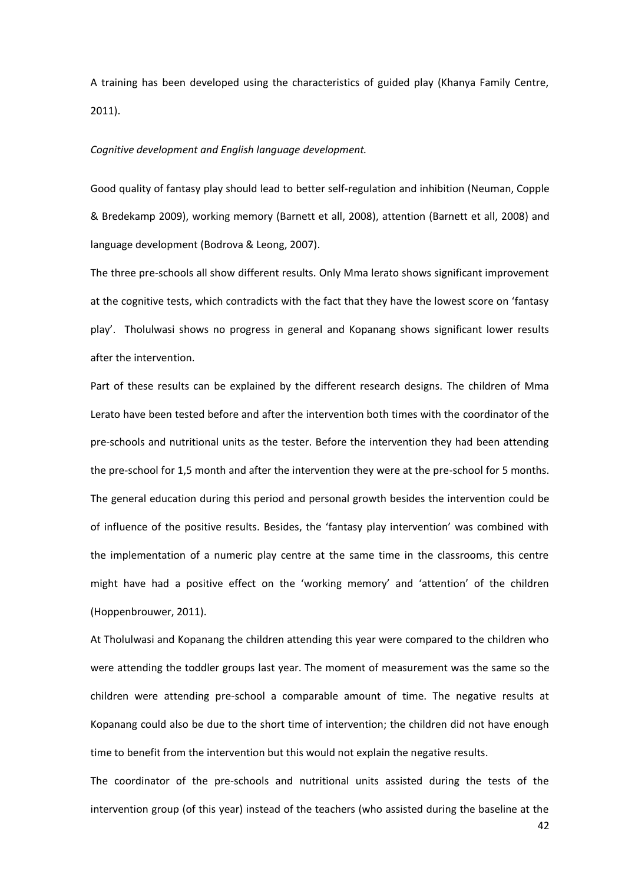A training has been developed using the characteristics of guided play (Khanya Family Centre, 2011).

#### *Cognitive development and English language development.*

Good quality of fantasy play should lead to better self-regulation and inhibition (Neuman, Copple & Bredekamp 2009), working memory (Barnett et all, 2008), attention (Barnett et all, 2008) and language development (Bodrova & Leong, 2007).

The three pre-schools all show different results. Only Mma lerato shows significant improvement at the cognitive tests, which contradicts with the fact that they have the lowest score on 'fantasy play'. Tholulwasi shows no progress in general and Kopanang shows significant lower results after the intervention.

Part of these results can be explained by the different research designs. The children of Mma Lerato have been tested before and after the intervention both times with the coordinator of the pre-schools and nutritional units as the tester. Before the intervention they had been attending the pre-school for 1,5 month and after the intervention they were at the pre-school for 5 months. The general education during this period and personal growth besides the intervention could be of influence of the positive results. Besides, the 'fantasy play intervention' was combined with the implementation of a numeric play centre at the same time in the classrooms, this centre might have had a positive effect on the 'working memory' and 'attention' of the children (Hoppenbrouwer, 2011).

At Tholulwasi and Kopanang the children attending this year were compared to the children who were attending the toddler groups last year. The moment of measurement was the same so the children were attending pre-school a comparable amount of time. The negative results at Kopanang could also be due to the short time of intervention; the children did not have enough time to benefit from the intervention but this would not explain the negative results.

The coordinator of the pre-schools and nutritional units assisted during the tests of the intervention group (of this year) instead of the teachers (who assisted during the baseline at the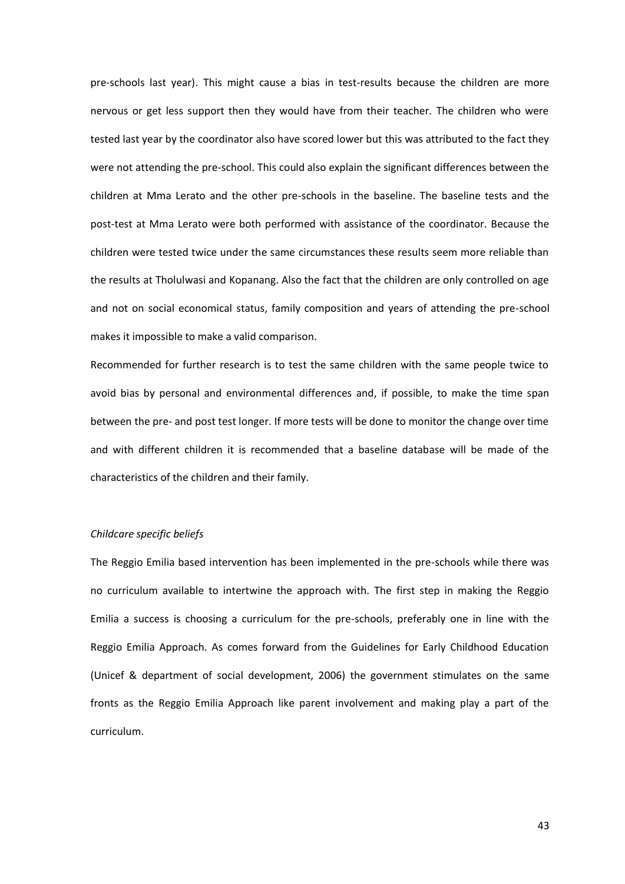pre-schools last year). This might cause a bias in test-results because the children are more nervous or get less support then they would have from their teacher. The children who were tested last year by the coordinator also have scored lower but this was attributed to the fact they were not attending the pre-school. This could also explain the significant differences between the children at Mma Lerato and the other pre-schools in the baseline. The baseline tests and the post-test at Mma Lerato were both performed with assistance of the coordinator. Because the children were tested twice under the same circumstances these results seem more reliable than the results at Tholulwasi and Kopanang. Also the fact that the children are only controlled on age and not on social economical status, family composition and years of attending the pre-school makes it impossible to make a valid comparison.

Recommended for further research is to test the same children with the same people twice to avoid bias by personal and environmental differences and, if possible, to make the time span between the pre- and post test longer. If more tests will be done to monitor the change over time and with different children it is recommended that a baseline database will be made of the characteristics of the children and their family.

#### *Childcare specific beliefs*

The Reggio Emilia based intervention has been implemented in the pre-schools while there was no curriculum available to intertwine the approach with. The first step in making the Reggio Emilia a success is choosing a curriculum for the pre-schools, preferably one in line with the Reggio Emilia Approach. As comes forward from the Guidelines for Early Childhood Education (Unicef & department of social development, 2006) the government stimulates on the same fronts as the Reggio Emilia Approach like parent involvement and making play a part of the curriculum.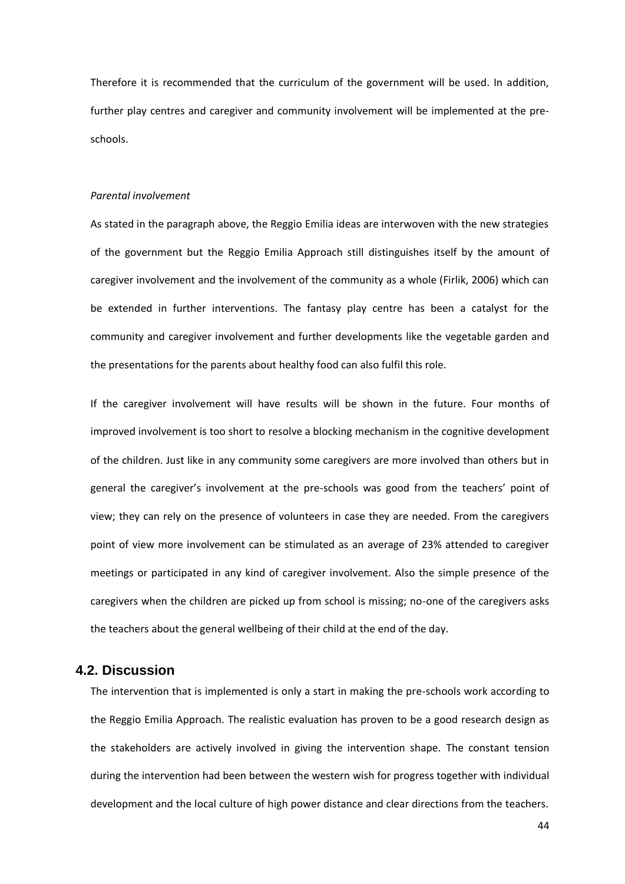Therefore it is recommended that the curriculum of the government will be used. In addition, further play centres and caregiver and community involvement will be implemented at the preschools.

#### *Parental involvement*

As stated in the paragraph above, the Reggio Emilia ideas are interwoven with the new strategies of the government but the Reggio Emilia Approach still distinguishes itself by the amount of caregiver involvement and the involvement of the community as a whole (Firlik, 2006) which can be extended in further interventions. The fantasy play centre has been a catalyst for the community and caregiver involvement and further developments like the vegetable garden and the presentations for the parents about healthy food can also fulfil this role.

If the caregiver involvement will have results will be shown in the future. Four months of improved involvement is too short to resolve a blocking mechanism in the cognitive development of the children. Just like in any community some caregivers are more involved than others but in general the caregiver's involvement at the pre-schools was good from the teachers' point of view; they can rely on the presence of volunteers in case they are needed. From the caregivers point of view more involvement can be stimulated as an average of 23% attended to caregiver meetings or participated in any kind of caregiver involvement. Also the simple presence of the caregivers when the children are picked up from school is missing; no-one of the caregivers asks the teachers about the general wellbeing of their child at the end of the day.

### <span id="page-43-0"></span>**4.2. Discussion**

The intervention that is implemented is only a start in making the pre-schools work according to the Reggio Emilia Approach. The realistic evaluation has proven to be a good research design as the stakeholders are actively involved in giving the intervention shape. The constant tension during the intervention had been between the western wish for progress together with individual development and the local culture of high power distance and clear directions from the teachers.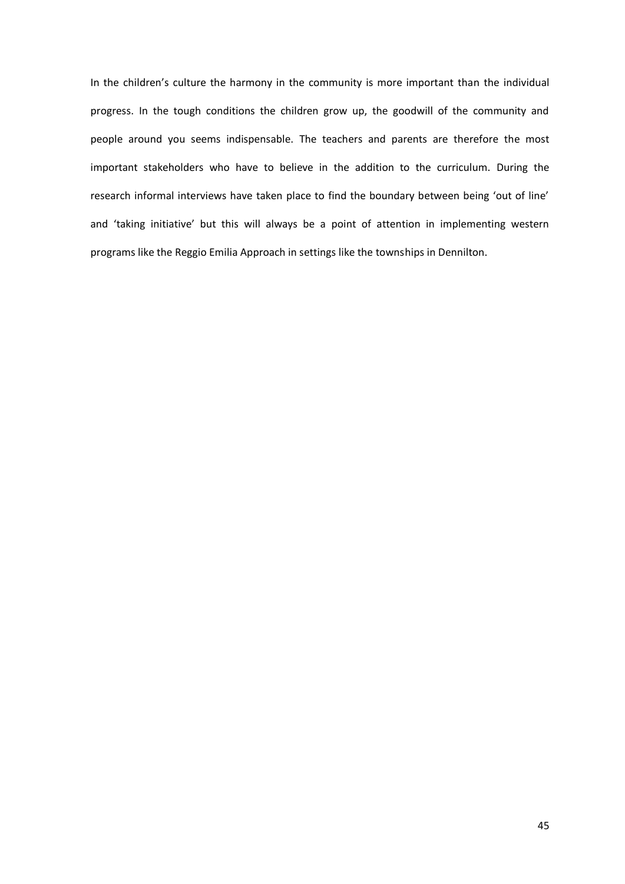In the children's culture the harmony in the community is more important than the individual progress. In the tough conditions the children grow up, the goodwill of the community and people around you seems indispensable. The teachers and parents are therefore the most important stakeholders who have to believe in the addition to the curriculum. During the research informal interviews have taken place to find the boundary between being 'out of line' and 'taking initiative' but this will always be a point of attention in implementing western programs like the Reggio Emilia Approach in settings like the townships in Dennilton.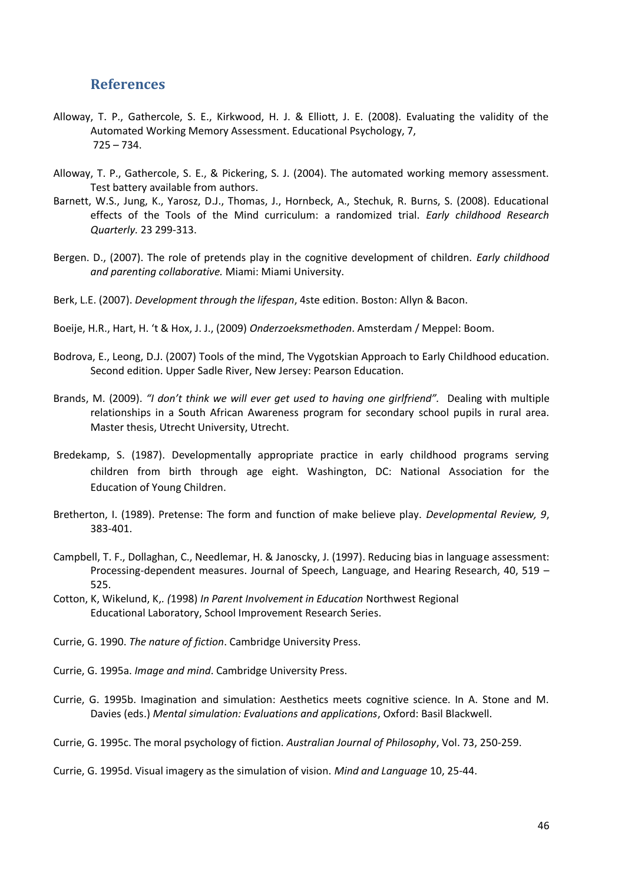## <span id="page-45-0"></span>**References**

- Alloway, T. P., Gathercole, S. E., Kirkwood, H. J. & Elliott, J. E. (2008). Evaluating the validity of the Automated Working Memory Assessment. Educational Psychology, 7, 725 – 734.
- Alloway, T. P., Gathercole, S. E., & Pickering, S. J. (2004). The automated working memory assessment. Test battery available from authors.
- Barnett, W.S., Jung, K., Yarosz, D.J., Thomas, J., Hornbeck, A., Stechuk, R. Burns, S. (2008). Educational effects of the Tools of the Mind curriculum: a randomized trial. *Early childhood Research Quarterly.* 23 299-313.
- Bergen. D., (2007). The role of pretends play in the cognitive development of children. *Early childhood and parenting collaborative.* Miami: Miami University.
- Berk, L.E. (2007). *Development through the lifespan*, 4ste edition. Boston: Allyn & Bacon.
- Boeije, H.R., Hart, H. 't & Hox, J. J., (2009) *Onderzoeksmethoden*. Amsterdam / Meppel: Boom.
- Bodrova, E., Leong, D.J. (2007) Tools of the mind, The Vygotskian Approach to Early Childhood education. Second edition. Upper Sadle River, New Jersey: Pearson Education.
- Brands, M. (2009). *"I don't think we will ever get used to having one girlfriend".* Dealing with multiple relationships in a South African Awareness program for secondary school pupils in rural area. Master thesis, Utrecht University, Utrecht.
- Bredekamp, S. (1987). Developmentally appropriate practice in early childhood programs serving children from birth through age eight. Washington, DC: National Association for the Education of Young Children.
- Bretherton, I. (1989). Pretense: The form and function of make believe play. *Developmental Review, 9*, 383-401.
- Campbell, T. F., Dollaghan, C., Needlemar, H. & Janoscky, J. (1997). Reducing bias in language assessment: Processing-dependent measures. Journal of Speech, Language, and Hearing Research, 40, 519 – 525.
- Cotton, K, Wikelund, K,*. (*1998) *In Parent Involvement in Education* Northwest Regional Educational Laboratory, School Improvement Research Series.
- Currie, G. 1990. *The nature of fiction*. Cambridge University Press.
- Currie, G. 1995a. *Image and mind*. Cambridge University Press.
- Currie, G. 1995b. Imagination and simulation: Aesthetics meets cognitive science. In A. Stone and M. Davies (eds.) *Mental simulation: Evaluations and applications*, Oxford: Basil Blackwell.
- Currie, G. 1995c. The moral psychology of fiction. *Australian Journal of Philosophy*, Vol. 73, 250-259.

Currie, G. 1995d. Visual imagery as the simulation of vision. *Mind and Language* 10, 25-44.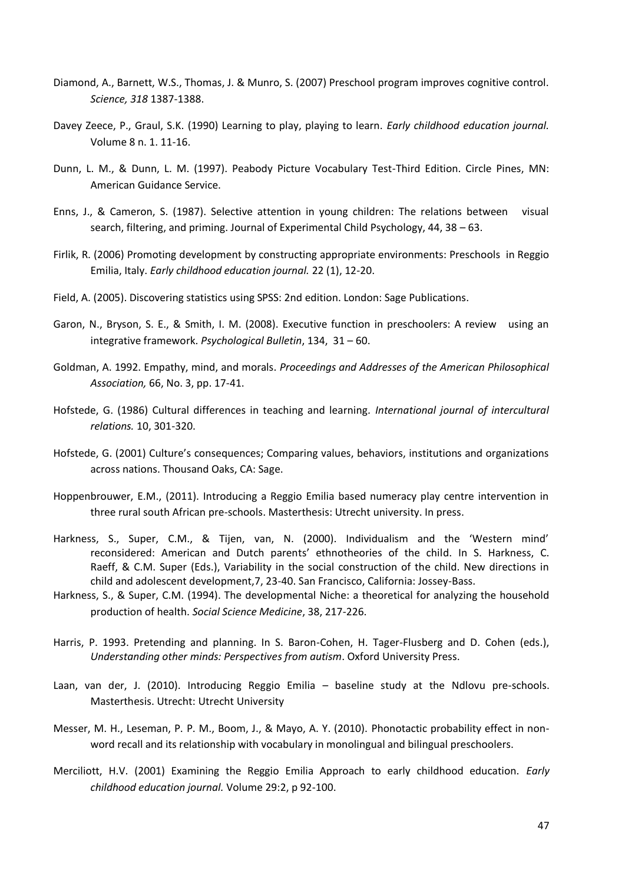- Diamond, A., Barnett, W.S., Thomas, J. & Munro, S. (2007) Preschool program improves cognitive control. *Science, 318* 1387-1388.
- Davey Zeece, P., Graul, S.K. (1990) Learning to play, playing to learn. *Early childhood education journal.*  Volume 8 n. 1. 11-16.
- Dunn, L. M., & Dunn, L. M. (1997). Peabody Picture Vocabulary Test-Third Edition. Circle Pines, MN: American Guidance Service.
- Enns, J., & Cameron, S. (1987). Selective attention in young children: The relations between visual search, filtering, and priming. Journal of Experimental Child Psychology, 44, 38 – 63.
- Firlik, R. (2006) Promoting development by constructing appropriate environments: Preschools in Reggio Emilia, Italy. *Early childhood education journal.* 22 (1), 12-20.
- Field, A. (2005). Discovering statistics using SPSS: 2nd edition. London: Sage Publications.
- Garon, N., Bryson, S. E., & Smith, I. M. (2008). Executive function in preschoolers: A review using an integrative framework. *Psychological Bulletin*, 134, 31 – 60.
- Goldman, A. 1992. Empathy, mind, and morals. *Proceedings and Addresses of the American Philosophical Association,* 66, No. 3, pp. 17-41.
- Hofstede, G. (1986) Cultural differences in teaching and learning*. International journal of intercultural relations.* 10, 301-320.
- Hofstede, G. (2001) Culture's consequences; Comparing values, behaviors, institutions and organizations across nations. Thousand Oaks, CA: Sage.
- Hoppenbrouwer, E.M., (2011). Introducing a Reggio Emilia based numeracy play centre intervention in three rural south African pre-schools. Masterthesis: Utrecht university. In press.
- Harkness, S., Super, C.M., & Tijen, van, N. (2000). Individualism and the 'Western mind' reconsidered: American and Dutch parents' ethnotheories of the child. In S. Harkness, C. Raeff, & C.M. Super (Eds.), Variability in the social construction of the child. New directions in child and adolescent development,7, 23-40. San Francisco, California: Jossey-Bass.
- Harkness, S., & Super, C.M. (1994). The developmental Niche: a theoretical for analyzing the household production of health. *Social Science Medicine*, 38, 217-226.
- Harris, P. 1993. Pretending and planning. In S. Baron-Cohen, H. Tager-Flusberg and D. Cohen (eds.), *Understanding other minds: Perspectives from autism*. Oxford University Press.
- Laan, van der, J. (2010). Introducing Reggio Emilia baseline study at the Ndlovu pre-schools. Masterthesis. Utrecht: Utrecht University
- Messer, M. H., Leseman, P. P. M., Boom, J., & Mayo, A. Y. (2010). Phonotactic probability effect in nonword recall and its relationship with vocabulary in monolingual and bilingual preschoolers.
- Merciliott, H.V. (2001) Examining the Reggio Emilia Approach to early childhood education. *Early childhood education journal.* Volume 29:2, p 92-100.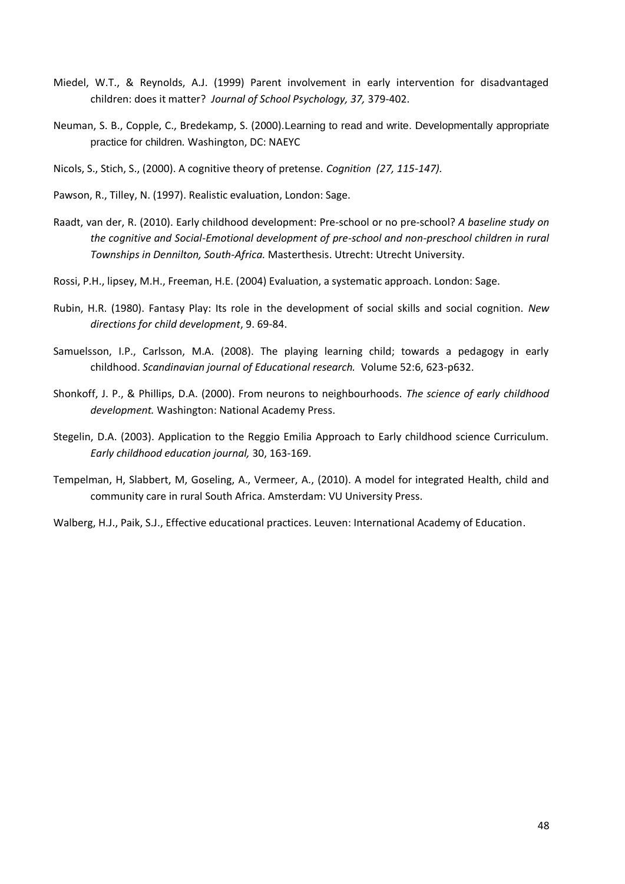- Miedel, W.T., & Reynolds, A.J. (1999) Parent involvement in early intervention for disadvantaged children: does it matter? *Journal of School Psychology, 37,* 379-402.
- Neuman, S. B., Copple, C., Bredekamp, S. (2000).Learning to read and write. Developmentally appropriate practice for children*.* Washington, DC: NAEYC
- Nicols, S., Stich, S., (2000). A cognitive theory of pretense. *Cognition (27, 115-147).*
- Pawson, R., Tilley, N. (1997). Realistic evaluation, London: Sage.
- Raadt, van der, R. (2010). Early childhood development: Pre-school or no pre-school? *A baseline study on the cognitive and Social-Emotional development of pre-school and non-preschool children in rural Townships in Dennilton, South-Africa.* Masterthesis. Utrecht: Utrecht University.
- Rossi, P.H., lipsey, M.H., Freeman, H.E. (2004) Evaluation, a systematic approach. London: Sage.
- Rubin, H.R. (1980). Fantasy Play: Its role in the development of social skills and social cognition. *New directions for child development*, 9. 69-84.
- Samuelsson, I.P., Carlsson, M.A. (2008). The playing learning child; towards a pedagogy in early childhood. *Scandinavian journal of Educational research.* Volume 52:6, 623-p632.
- Shonkoff, J. P., & Phillips, D.A. (2000). From neurons to neighbourhoods. *The science of early childhood development.* Washington: National Academy Press.
- Stegelin, D.A. (2003). Application to the Reggio Emilia Approach to Early childhood science Curriculum. *Early childhood education journal,* 30, 163-169.
- Tempelman, H, Slabbert, M, Goseling, A., Vermeer, A., (2010). A model for integrated Health, child and community care in rural South Africa. Amsterdam: VU University Press.
- Walberg, H.J., Paik, S.J., Effective educational practices. Leuven: International Academy of Education.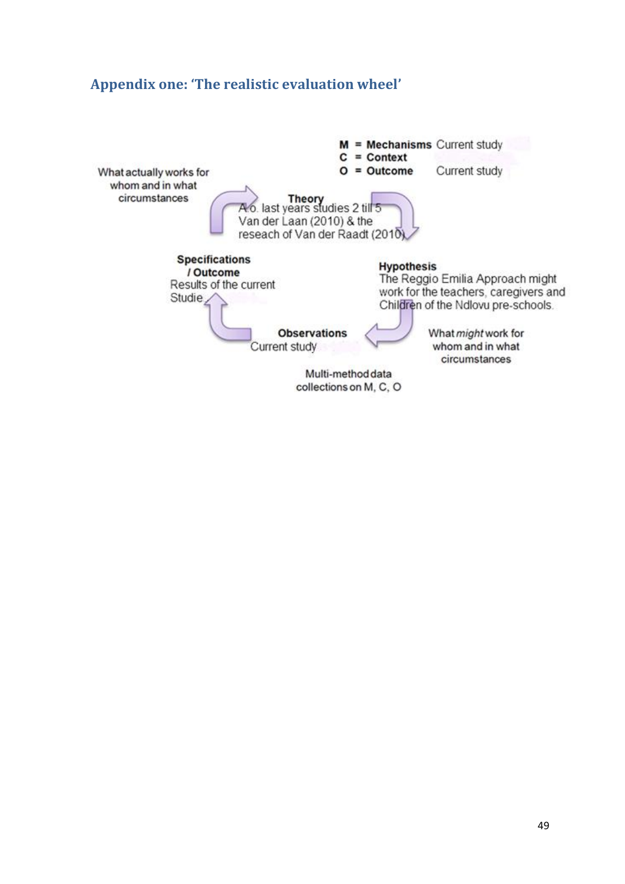## <span id="page-48-0"></span>**Appendix one: 'The realistic evaluation wheel'**

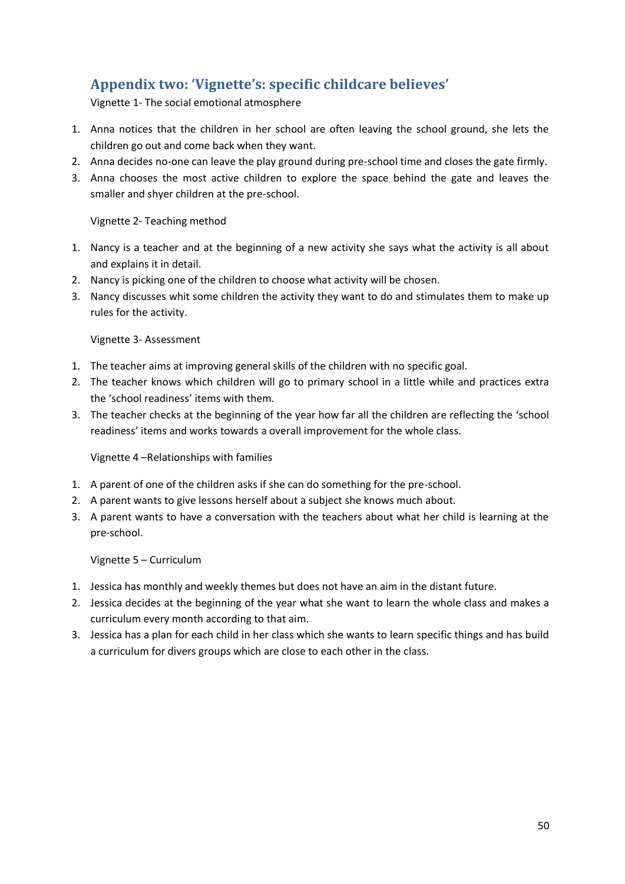## <span id="page-49-0"></span>**Appendix two: 'Vignette's: specific childcare believes'**

Vignette 1- The social emotional atmosphere

- 1. Anna notices that the children in her school are often leaving the school ground, she lets the children go out and come back when they want.
- 2. Anna decides no-one can leave the play ground during pre-school time and closes the gate firmly.
- 3. Anna chooses the most active children to explore the space behind the gate and leaves the smaller and shyer children at the pre-school.

Vignette 2- Teaching method

- 1. Nancy is a teacher and at the beginning of a new activity she says what the activity is all about and explains it in detail.
- 2. Nancy is picking one of the children to choose what activity will be chosen.
- 3. Nancy discusses whit some children the activity they want to do and stimulates them to make up rules for the activity.

Vignette 3- Assessment

- 1. The teacher aims at improving general skills of the children with no specific goal.
- 2. The teacher knows which children will go to primary school in a little while and practices extra the 'school readiness' items with them.
- 3. The teacher checks at the beginning of the year how far all the children are reflecting the 'school readiness' items and works towards a overall improvement for the whole class.

## Vignette 4 –Relationships with families

- 1. A parent of one of the children asks if she can do something for the pre-school.
- 2. A parent wants to give lessons herself about a subject she knows much about.
- 3. A parent wants to have a conversation with the teachers about what her child is learning at the pre-school.

Vignette 5 – Curriculum

- 1. Jessica has monthly and weekly themes but does not have an aim in the distant future.
- 2. Jessica decides at the beginning of the year what she want to learn the whole class and makes a curriculum every month according to that aim.
- 3. Jessica has a plan for each child in her class which she wants to learn specific things and has build a curriculum for divers groups which are close to each other in the class.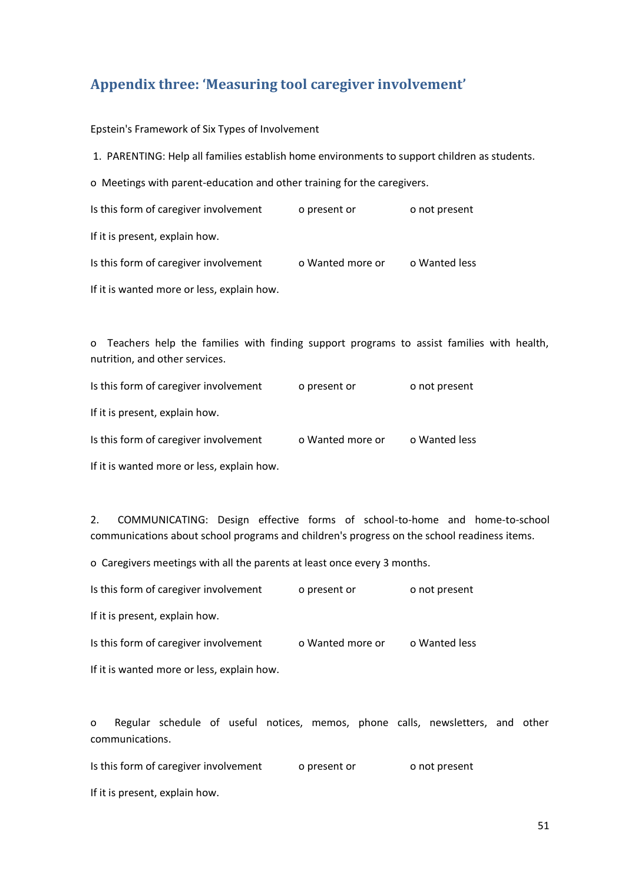## <span id="page-50-0"></span>**Appendix three: 'Measuring tool caregiver involvement'**

Epstein's Framework of Six Types of Involvement

1. PARENTING: Help all families establish home environments to support children as students. o Meetings with parent-education and other training for the caregivers. Is this form of caregiver involvement operation of present or onot present If it is present, explain how. Is this form of caregiver involvement o Wanted more or o Wanted less If it is wanted more or less, explain how.

o Teachers help the families with finding support programs to assist families with health, nutrition, and other services.

| Is this form of caregiver involvement | o present or     | o not present |
|---------------------------------------|------------------|---------------|
| If it is present, explain how.        |                  |               |
| Is this form of caregiver involvement | o Wanted more or | o Wanted less |

If it is wanted more or less, explain how.

2. COMMUNICATING: Design effective forms of school-to-home and home-to-school communications about school programs and children's progress on the school readiness items.

o Caregivers meetings with all the parents at least once every 3 months.

Is this form of caregiver involvement o present or o not present

If it is present, explain how.

| Is this form of caregiver involvement | o Wanted more or | o Wanted less |
|---------------------------------------|------------------|---------------|
|---------------------------------------|------------------|---------------|

If it is wanted more or less, explain how.

o Regular schedule of useful notices, memos, phone calls, newsletters, and other communications.

Is this form of caregiver involvement opresent or onot present If it is present, explain how.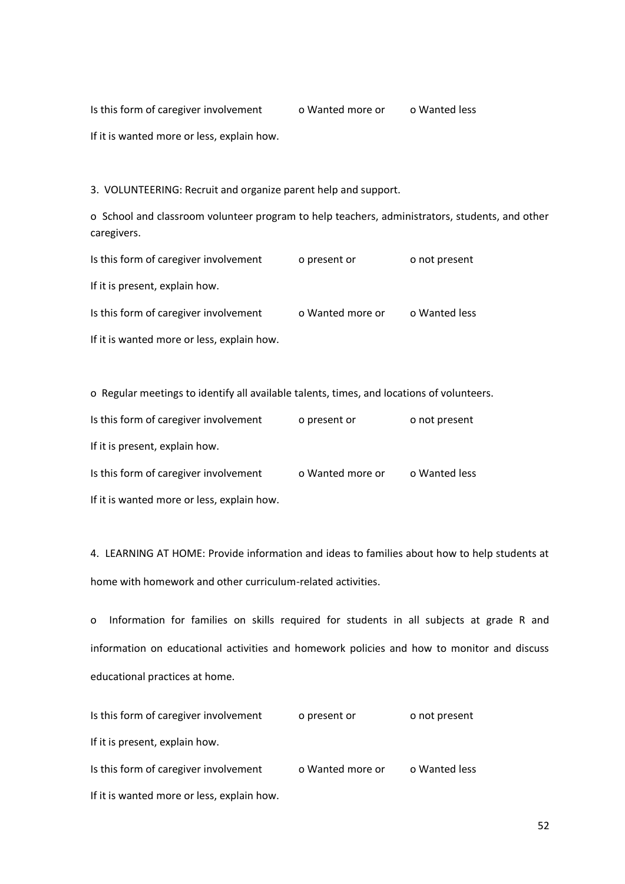Is this form of caregiver involvement o Wanted more or o Wanted less If it is wanted more or less, explain how.

3. VOLUNTEERING: Recruit and organize parent help and support.

o School and classroom volunteer program to help teachers, administrators, students, and other caregivers.

| Is this form of caregiver involvement      | o present or     | o not present |
|--------------------------------------------|------------------|---------------|
| If it is present, explain how.             |                  |               |
| Is this form of caregiver involvement      | o Wanted more or | o Wanted less |
| If it is wanted more or less, explain how. |                  |               |

| o Regular meetings to identify all available talents, times, and locations of volunteers. |                  |               |  |
|-------------------------------------------------------------------------------------------|------------------|---------------|--|
| Is this form of caregiver involvement                                                     | o present or     | o not present |  |
| If it is present, explain how.                                                            |                  |               |  |
| Is this form of caregiver involvement                                                     | o Wanted more or | o Wanted less |  |
| If it is wanted more or less, explain how.                                                |                  |               |  |

4. LEARNING AT HOME: Provide information and ideas to families about how to help students at home with homework and other curriculum-related activities.

o Information for families on skills required for students in all subjects at grade R and information on educational activities and homework policies and how to monitor and discuss educational practices at home.

| Is this form of caregiver involvement      | o present or     | o not present |
|--------------------------------------------|------------------|---------------|
| If it is present, explain how.             |                  |               |
| Is this form of caregiver involvement      | o Wanted more or | o Wanted less |
| If it is wanted more or less, explain how. |                  |               |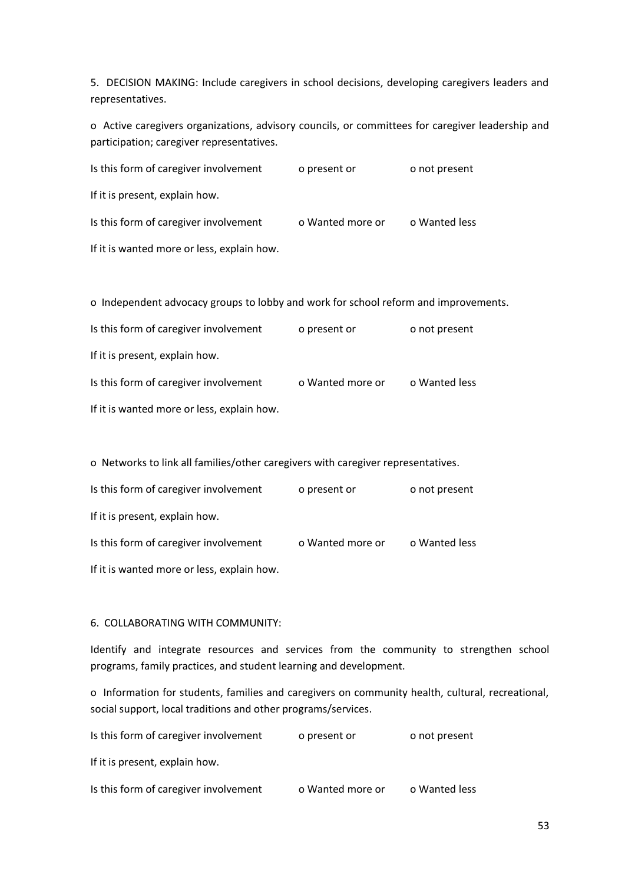5. DECISION MAKING: Include caregivers in school decisions, developing caregivers leaders and representatives.

o Active caregivers organizations, advisory councils, or committees for caregiver leadership and participation; caregiver representatives.

| Is this form of caregiver involvement      | o present or     | o not present |
|--------------------------------------------|------------------|---------------|
| If it is present, explain how.             |                  |               |
| Is this form of caregiver involvement      | o Wanted more or | o Wanted less |
| If it is wanted more or less, explain how. |                  |               |

o Independent advocacy groups to lobby and work for school reform and improvements.

| Is this form of caregiver involvement      | o present or     | o not present |
|--------------------------------------------|------------------|---------------|
| If it is present, explain how.             |                  |               |
| Is this form of caregiver involvement      | o Wanted more or | o Wanted less |
| If it is wanted more or less, explain how. |                  |               |

o Networks to link all families/other caregivers with caregiver representatives.

| Is this form of caregiver involvement      | o present or     | o not present |
|--------------------------------------------|------------------|---------------|
| If it is present, explain how.             |                  |               |
| Is this form of caregiver involvement      | o Wanted more or | o Wanted less |
| If it is wanted more or less, explain how. |                  |               |

#### 6. COLLABORATING WITH COMMUNITY:

Identify and integrate resources and services from the community to strengthen school programs, family practices, and student learning and development.

o Information for students, families and caregivers on community health, cultural, recreational, social support, local traditions and other programs/services.

| Is this form of caregiver involvement | o present or     | o not present |
|---------------------------------------|------------------|---------------|
| If it is present, explain how.        |                  |               |
| Is this form of caregiver involvement | o Wanted more or | o Wanted less |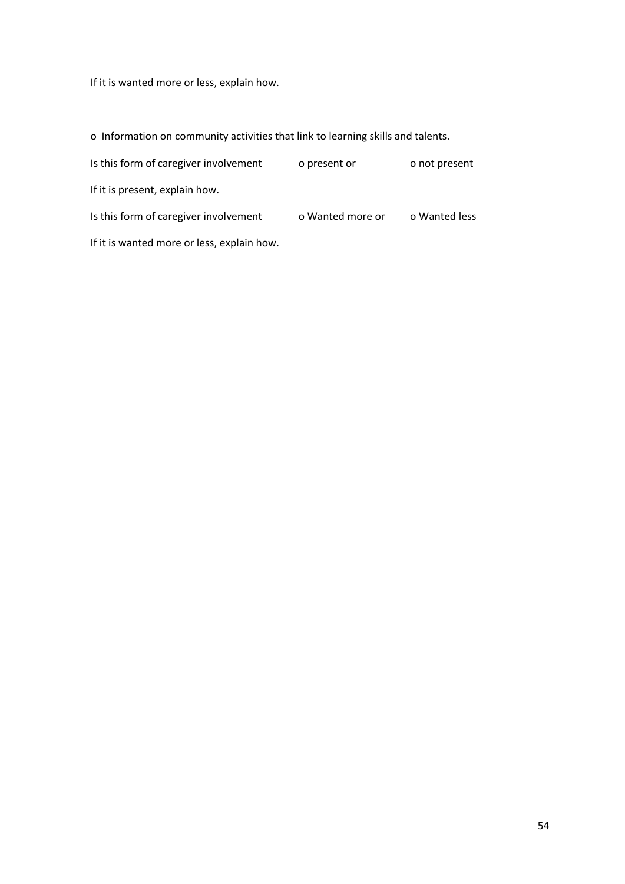If it is wanted more or less, explain how.

o Information on community activities that link to learning skills and talents.

| Is this form of caregiver involvement      | o present or     | o not present |
|--------------------------------------------|------------------|---------------|
| If it is present, explain how.             |                  |               |
| Is this form of caregiver involvement      | o Wanted more or | o Wanted less |
| If it is wanted more or less, explain how. |                  |               |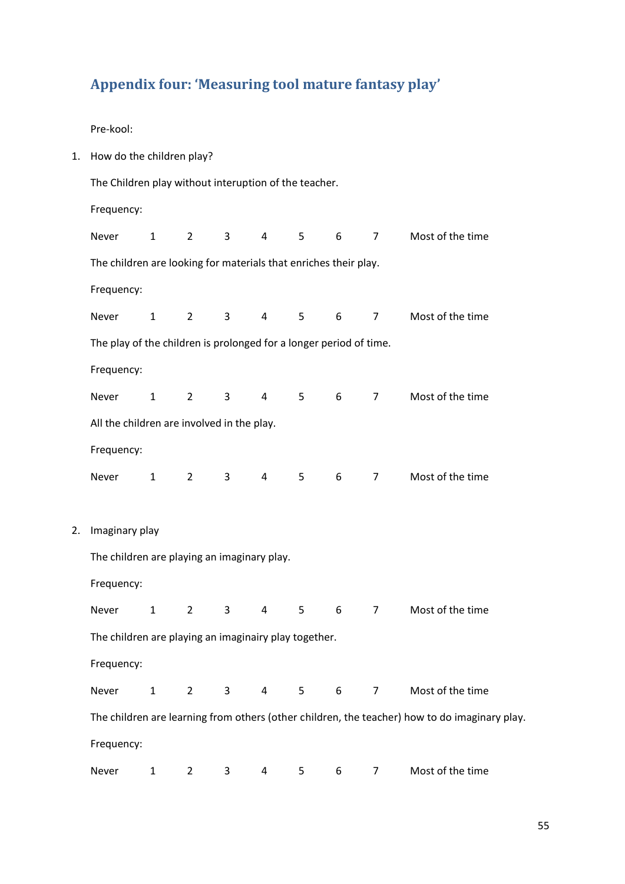## <span id="page-54-0"></span>**Appendix four: 'Measuring tool mature fantasy play'**

Pre-kool:

1. How do the children play? The Children play without interuption of the teacher. Frequency: Never 1 2 3 4 5 6 7 Most of the time The children are looking for materials that enriches their play. Frequency: Never 1 2 3 4 5 6 7 Most of the time The play of the children is prolonged for a longer period of time. Frequency: Never 1 2 3 4 5 6 7 Most of the time All the children are involved in the play. Frequency: Never 1 2 3 4 5 6 7 Most of the time 2. Imaginary play The children are playing an imaginary play. Frequency: Never 1 2 3 4 5 6 7 Most of the time The children are playing an imaginairy play together. Frequency: Never 1 2 3 4 5 6 7 Most of the time The children are learning from others (other children, the teacher) how to do imaginary play. Frequency: Never 1 2 3 4 5 6 7 Most of the time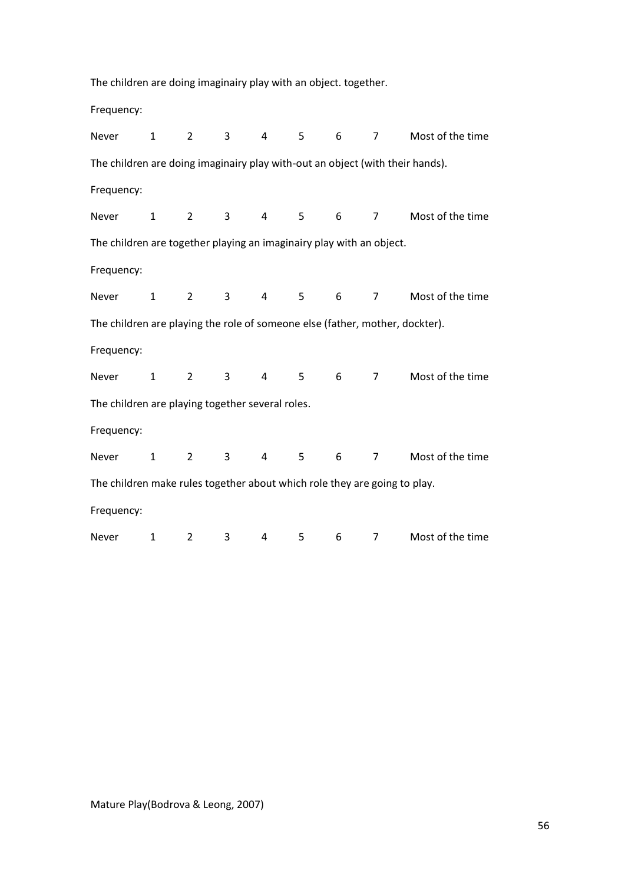The children are doing imaginairy play with an object. together. Frequency: Never 1 2 3 4 5 6 7 Most of the time The children are doing imaginairy play with-out an object (with their hands). Frequency: Never 1 2 3 4 5 6 7 Most of the time The children are together playing an imaginairy play with an object. Frequency: Never 1 2 3 4 5 6 7 Most of the time The children are playing the role of someone else (father, mother, dockter). Frequency: Never 1 2 3 4 5 6 7 Most of the time The children are playing together several roles. Frequency: Never 1 2 3 4 5 6 7 Most of the time The children make rules together about which role they are going to play. Frequency: Never 1 2 3 4 5 6 7 Most of the time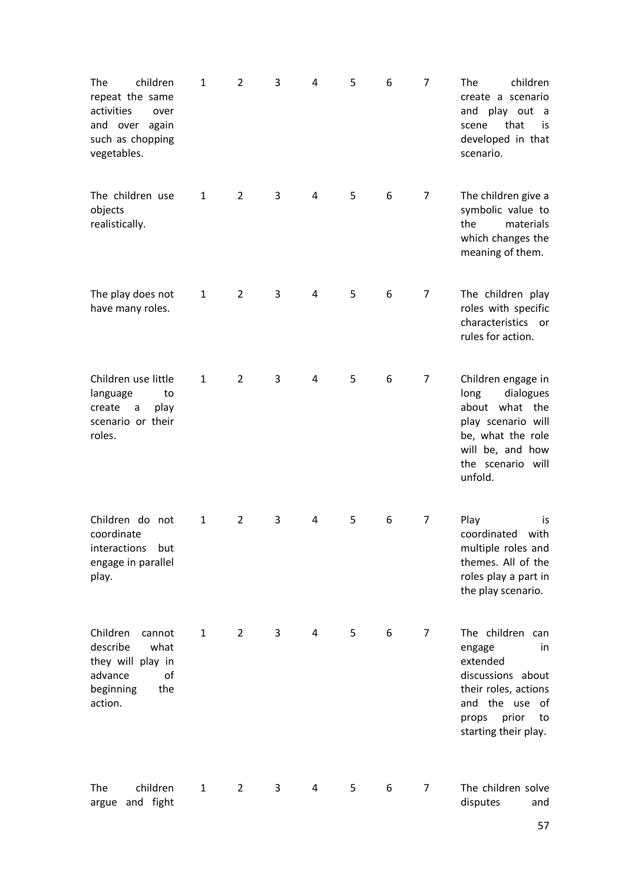| The<br>children<br>repeat the same<br>activities<br>over<br>and over again<br>such as chopping<br>vegetables. | 1            | 2              | 3 | 4 | 5 | 6 | 7              | children<br>The<br>create a scenario<br>and play out<br>$\overline{a}$<br>that<br>scene<br>is.<br>developed in that<br>scenario.                             |
|---------------------------------------------------------------------------------------------------------------|--------------|----------------|---|---|---|---|----------------|--------------------------------------------------------------------------------------------------------------------------------------------------------------|
| The children use<br>objects<br>realistically.                                                                 | $\mathbf{1}$ | $\overline{2}$ | 3 | 4 | 5 | 6 | 7              | The children give a<br>symbolic value to<br>the<br>materials<br>which changes the<br>meaning of them.                                                        |
| The play does not<br>have many roles.                                                                         | $\mathbf{1}$ | $\overline{2}$ | 3 | 4 | 5 | 6 | 7              | The children play<br>roles with specific<br>characteristics or<br>rules for action.                                                                          |
| Children use little<br>language<br>to<br>create<br>play<br>a<br>scenario or their<br>roles.                   | $\mathbf{1}$ | $\overline{2}$ | 3 | 4 | 5 | 6 | 7              | Children engage in<br>long<br>dialogues<br>about what the<br>play scenario will<br>be, what the role<br>will be, and how<br>the scenario will<br>unfold.     |
| Children do not<br>coordinate<br>but<br>interactions<br>engage in parallel<br>play.                           | $\mathbf{1}$ | $\overline{2}$ | 3 | 4 | 5 | 6 | $\overline{7}$ | Play<br>is<br>coordinated<br>with<br>multiple roles and<br>themes. All of the<br>roles play a part in<br>the play scenario.                                  |
| Children<br>cannot<br>describe<br>what<br>they will play in<br>advance<br>οf<br>beginning<br>the<br>action.   | $\mathbf{1}$ | $\overline{2}$ | 3 | 4 | 5 | 6 | 7              | The children can<br>engage<br>in.<br>extended<br>discussions about<br>their roles, actions<br>and the use of<br>prior<br>props<br>to<br>starting their play. |
| children<br>The<br>and fight<br>argue                                                                         | $\mathbf{1}$ | $\overline{2}$ | 3 | 4 | 5 | 6 | 7              | The children solve<br>disputes<br>and                                                                                                                        |